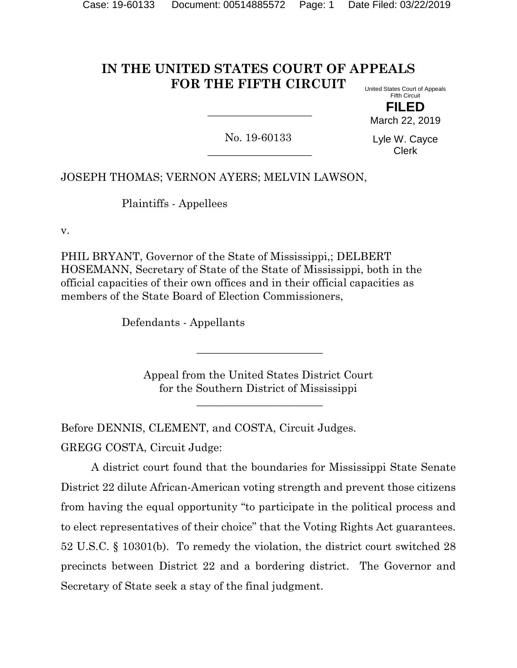#### **IN THE UNITED STATES COURT OF APPEALS FOR THE FIFTH CIRCUIT** United States Court of Appeals

Fifth Circuit **FILED** March 22, 2019

No. 19-60133  $\overline{\phantom{a}}$  , where  $\overline{\phantom{a}}$  , where  $\overline{\phantom{a}}$  , where  $\overline{\phantom{a}}$  ,  $\overline{\phantom{a}}$  ,  $\overline{\phantom{a}}$  ,  $\overline{\phantom{a}}$  ,  $\overline{\phantom{a}}$  ,  $\overline{\phantom{a}}$  ,  $\overline{\phantom{a}}$  ,  $\overline{\phantom{a}}$  ,  $\overline{\phantom{a}}$  ,  $\overline{\phantom{a}}$  ,  $\overline{\phantom{a}}$  ,  $\overline{\phantom$ 

\_\_\_\_\_\_\_\_\_\_\_\_\_\_\_\_\_\_\_

Lyle W. Cayce Clerk

JOSEPH THOMAS; VERNON AYERS; MELVIN LAWSON,

Plaintiffs - Appellees

v.

PHIL BRYANT, Governor of the State of Mississippi,; DELBERT HOSEMANN, Secretary of State of the State of Mississippi, both in the official capacities of their own offices and in their official capacities as members of the State Board of Election Commissioners,

Defendants - Appellants

Appeal from the United States District Court for the Southern District of Mississippi

\_\_\_\_\_\_\_\_\_\_\_\_\_\_\_\_\_\_\_\_\_\_\_

\_\_\_\_\_\_\_\_\_\_\_\_\_\_\_\_\_\_\_\_\_\_\_

Before DENNIS, CLEMENT, and COSTA, Circuit Judges.

GREGG COSTA, Circuit Judge:

A district court found that the boundaries for Mississippi State Senate District 22 dilute African-American voting strength and prevent those citizens from having the equal opportunity "to participate in the political process and to elect representatives of their choice" that the Voting Rights Act guarantees. 52 U.S.C. § 10301(b). To remedy the violation, the district court switched 28 precincts between District 22 and a bordering district. The Governor and Secretary of State seek a stay of the final judgment.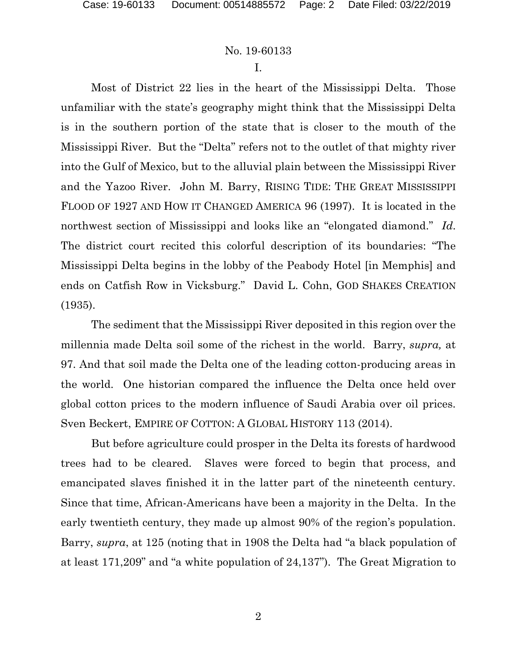I.

Most of District 22 lies in the heart of the Mississippi Delta. Those unfamiliar with the state's geography might think that the Mississippi Delta is in the southern portion of the state that is closer to the mouth of the Mississippi River. But the "Delta" refers not to the outlet of that mighty river into the Gulf of Mexico, but to the alluvial plain between the Mississippi River and the Yazoo River. John M. Barry, RISING TIDE: THE GREAT MISSISSIPPI FLOOD OF 1927 AND HOW IT CHANGED AMERICA 96 (1997). It is located in the northwest section of Mississippi and looks like an "elongated diamond." *Id*. The district court recited this colorful description of its boundaries: "The Mississippi Delta begins in the lobby of the Peabody Hotel [in Memphis] and ends on Catfish Row in Vicksburg." David L. Cohn, GOD SHAKES CREATION (1935).

The sediment that the Mississippi River deposited in this region over the millennia made Delta soil some of the richest in the world. Barry, *supra,* at 97. And that soil made the Delta one of the leading cotton-producing areas in the world. One historian compared the influence the Delta once held over global cotton prices to the modern influence of Saudi Arabia over oil prices. Sven Beckert, EMPIRE OF COTTON: A GLOBAL HISTORY 113 (2014).

But before agriculture could prosper in the Delta its forests of hardwood trees had to be cleared. Slaves were forced to begin that process, and emancipated slaves finished it in the latter part of the nineteenth century. Since that time, African-Americans have been a majority in the Delta. In the early twentieth century, they made up almost 90% of the region's population. Barry, *supra*, at 125 (noting that in 1908 the Delta had "a black population of at least 171,209" and "a white population of 24,137"). The Great Migration to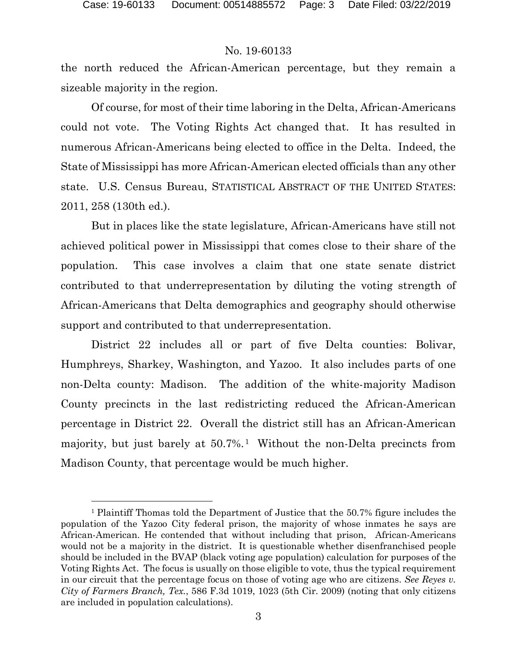#### No. 19-60133

the north reduced the African-American percentage, but they remain a sizeable majority in the region.

Of course, for most of their time laboring in the Delta, African-Americans could not vote. The Voting Rights Act changed that. It has resulted in numerous African-Americans being elected to office in the Delta. Indeed, the State of Mississippi has more African-American elected officials than any other state. U.S. Census Bureau, STATISTICAL ABSTRACT OF THE UNITED STATES: 2011, 258 (130th ed.).

But in places like the state legislature, African-Americans have still not achieved political power in Mississippi that comes close to their share of the population. This case involves a claim that one state senate district contributed to that underrepresentation by diluting the voting strength of African-Americans that Delta demographics and geography should otherwise support and contributed to that underrepresentation.

District 22 includes all or part of five Delta counties: Bolivar, Humphreys, Sharkey, Washington, and Yazoo. It also includes parts of one non-Delta county: Madison. The addition of the white-majority Madison County precincts in the last redistricting reduced the African-American percentage in District 22. Overall the district still has an African-American majority, but just barely at  $50.7\%$ .<sup>[1](#page-2-0)</sup> Without the non-Delta precincts from Madison County, that percentage would be much higher.

<span id="page-2-0"></span><sup>1</sup> Plaintiff Thomas told the Department of Justice that the 50.7% figure includes the population of the Yazoo City federal prison, the majority of whose inmates he says are African-American. He contended that without including that prison, African-Americans would not be a majority in the district. It is questionable whether disenfranchised people should be included in the BVAP (black voting age population) calculation for purposes of the Voting Rights Act. The focus is usually on those eligible to vote, thus the typical requirement in our circuit that the percentage focus on those of voting age who are citizens. *See Reyes v. City of Farmers Branch, Tex.*, 586 F.3d 1019, 1023 (5th Cir. 2009) (noting that only citizens are included in population calculations).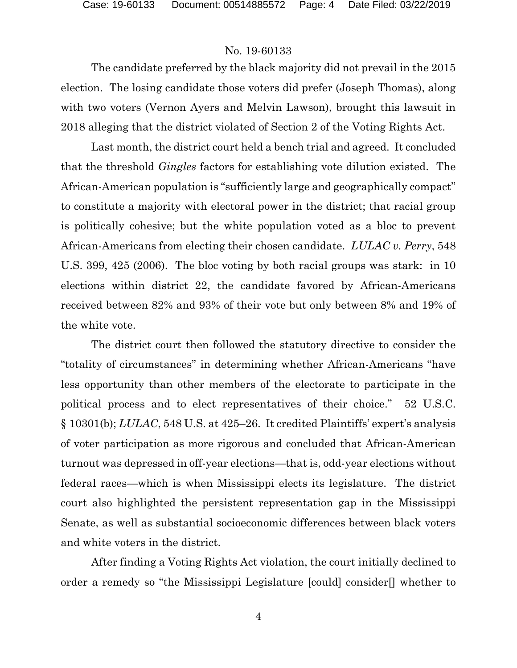The candidate preferred by the black majority did not prevail in the 2015 election. The losing candidate those voters did prefer (Joseph Thomas), along with two voters (Vernon Ayers and Melvin Lawson), brought this lawsuit in 2018 alleging that the district violated of Section 2 of the Voting Rights Act.

Last month, the district court held a bench trial and agreed. It concluded that the threshold *Gingles* factors for establishing vote dilution existed. The African-American population is "sufficiently large and geographically compact" to constitute a majority with electoral power in the district; that racial group is politically cohesive; but the white population voted as a bloc to prevent African-Americans from electing their chosen candidate. *LULAC v. Perry*, 548 U.S. 399, 425 (2006). The bloc voting by both racial groups was stark: in 10 elections within district 22, the candidate favored by African-Americans received between 82% and 93% of their vote but only between 8% and 19% of the white vote.

The district court then followed the statutory directive to consider the "totality of circumstances" in determining whether African-Americans "have less opportunity than other members of the electorate to participate in the political process and to elect representatives of their choice." 52 U.S.C. § 10301(b); *LULAC*, 548 U.S. at 425–26. It credited Plaintiffs' expert's analysis of voter participation as more rigorous and concluded that African-American turnout was depressed in off-year elections—that is, odd-year elections without federal races—which is when Mississippi elects its legislature. The district court also highlighted the persistent representation gap in the Mississippi Senate, as well as substantial socioeconomic differences between black voters and white voters in the district.

After finding a Voting Rights Act violation, the court initially declined to order a remedy so "the Mississippi Legislature [could] consider[] whether to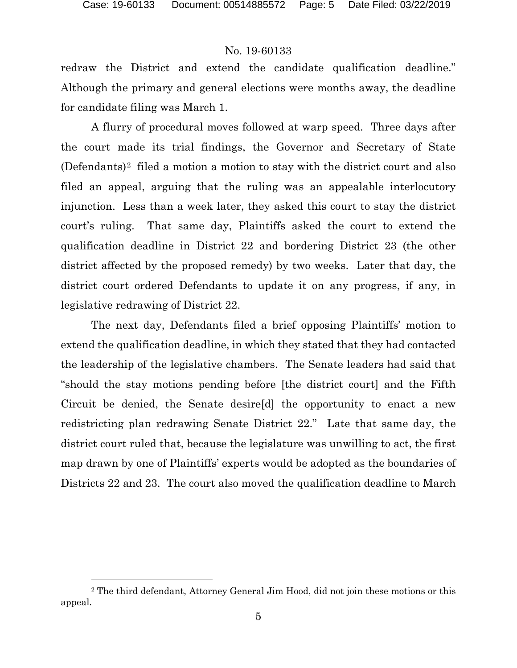### No. 19-60133

redraw the District and extend the candidate qualification deadline." Although the primary and general elections were months away, the deadline for candidate filing was March 1.

 A flurry of procedural moves followed at warp speed. Three days after the court made its trial findings, the Governor and Secretary of State (Defendants)[2](#page-4-0) filed a motion a motion to stay with the district court and also filed an appeal, arguing that the ruling was an appealable interlocutory injunction. Less than a week later, they asked this court to stay the district court's ruling. That same day, Plaintiffs asked the court to extend the qualification deadline in District 22 and bordering District 23 (the other district affected by the proposed remedy) by two weeks. Later that day, the district court ordered Defendants to update it on any progress, if any, in legislative redrawing of District 22.

The next day, Defendants filed a brief opposing Plaintiffs' motion to extend the qualification deadline, in which they stated that they had contacted the leadership of the legislative chambers. The Senate leaders had said that "should the stay motions pending before [the district court] and the Fifth Circuit be denied, the Senate desire[d] the opportunity to enact a new redistricting plan redrawing Senate District 22." Late that same day, the district court ruled that, because the legislature was unwilling to act, the first map drawn by one of Plaintiffs' experts would be adopted as the boundaries of Districts 22 and 23. The court also moved the qualification deadline to March

<span id="page-4-0"></span><sup>2</sup> The third defendant, Attorney General Jim Hood, did not join these motions or this appeal.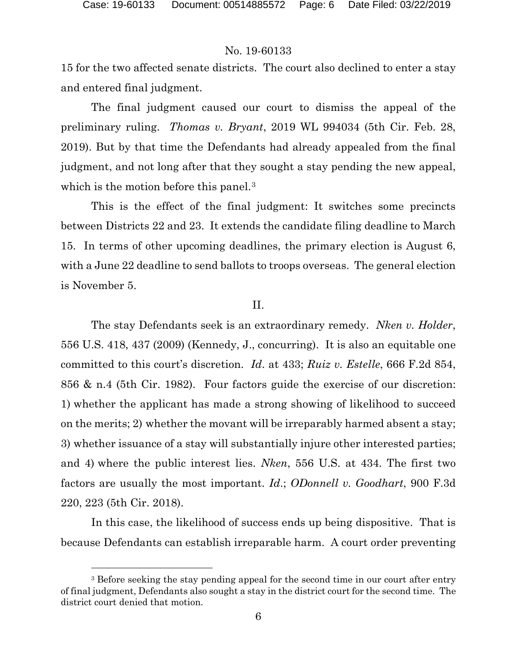### No. 19-60133

15 for the two affected senate districts. The court also declined to enter a stay and entered final judgment.

The final judgment caused our court to dismiss the appeal of the preliminary ruling. *Thomas v. Bryant*, 2019 WL 994034 (5th Cir. Feb. 28, 2019). But by that time the Defendants had already appealed from the final judgment, and not long after that they sought a stay pending the new appeal, which is the motion before this panel.<sup>[3](#page-5-0)</sup>

This is the effect of the final judgment: It switches some precincts between Districts 22 and 23. It extends the candidate filing deadline to March 15. In terms of other upcoming deadlines, the primary election is August 6, with a June 22 deadline to send ballots to troops overseas. The general election is November 5.

#### II.

The stay Defendants seek is an extraordinary remedy. *Nken v. Holder*, 556 U.S. 418, 437 (2009) (Kennedy, J., concurring). It is also an equitable one committed to this court's discretion. *Id*. at 433; *Ruiz v. Estelle*, 666 F.2d 854, 856 & n.4 (5th Cir. 1982). Four factors guide the exercise of our discretion: 1) whether the applicant has made a strong showing of likelihood to succeed on the merits; 2) whether the movant will be irreparably harmed absent a stay; 3) whether issuance of a stay will substantially injure other interested parties; and 4) where the public interest lies. *Nken*, 556 U.S. at 434. The first two factors are usually the most important. *Id*.; *ODonnell v. Goodhart*, 900 F.3d 220, 223 (5th Cir. 2018).

In this case, the likelihood of success ends up being dispositive. That is because Defendants can establish irreparable harm. A court order preventing

<span id="page-5-0"></span><sup>&</sup>lt;sup>3</sup> Before seeking the stay pending appeal for the second time in our court after entry of final judgment, Defendants also sought a stay in the district court for the second time. The district court denied that motion.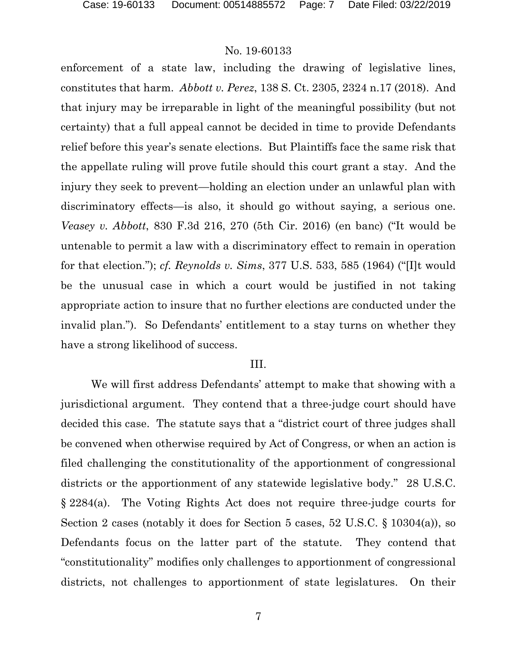enforcement of a state law, including the drawing of legislative lines, constitutes that harm. *Abbott v. Perez*, 138 S. Ct. 2305, 2324 n.17 (2018). And that injury may be irreparable in light of the meaningful possibility (but not certainty) that a full appeal cannot be decided in time to provide Defendants relief before this year's senate elections. But Plaintiffs face the same risk that the appellate ruling will prove futile should this court grant a stay. And the injury they seek to prevent—holding an election under an unlawful plan with discriminatory effects—is also, it should go without saying, a serious one. *Veasey v. Abbott*, 830 F.3d 216, 270 (5th Cir. 2016) (en banc) ("It would be untenable to permit a law with a discriminatory effect to remain in operation for that election."); *cf. Reynolds v. Sims*, 377 U.S. 533, 585 (1964) ("[I]t would be the unusual case in which a court would be justified in not taking appropriate action to insure that no further elections are conducted under the invalid plan."). So Defendants' entitlement to a stay turns on whether they have a strong likelihood of success.

#### III.

We will first address Defendants' attempt to make that showing with a jurisdictional argument. They contend that a three-judge court should have decided this case. The statute says that a "district court of three judges shall be convened when otherwise required by Act of Congress, or when an action is filed challenging the constitutionality of the apportionment of congressional districts or the apportionment of any statewide legislative body." 28 U.S.C. § 2284(a). The Voting Rights Act does not require three-judge courts for Section 2 cases (notably it does for Section 5 cases, 52 U.S.C. § 10304(a)), so Defendants focus on the latter part of the statute. They contend that "constitutionality" modifies only challenges to apportionment of congressional districts, not challenges to apportionment of state legislatures. On their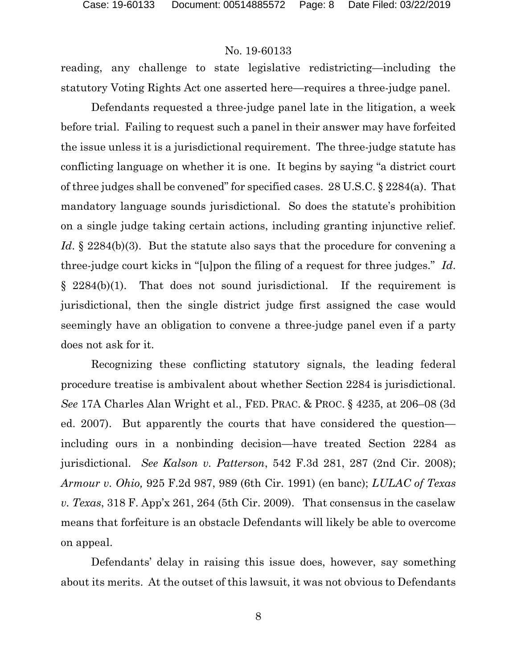reading, any challenge to state legislative redistricting—including the statutory Voting Rights Act one asserted here—requires a three-judge panel.

Defendants requested a three-judge panel late in the litigation, a week before trial. Failing to request such a panel in their answer may have forfeited the issue unless it is a jurisdictional requirement. The three-judge statute has conflicting language on whether it is one. It begins by saying "a district court of three judges shall be convened" for specified cases. 28 U.S.C. § 2284(a). That mandatory language sounds jurisdictional. So does the statute's prohibition on a single judge taking certain actions, including granting injunctive relief. *Id.* § 2284(b)(3). But the statute also says that the procedure for convening a three-judge court kicks in "[u]pon the filing of a request for three judges." *Id*. § 2284(b)(1). That does not sound jurisdictional. If the requirement is jurisdictional, then the single district judge first assigned the case would seemingly have an obligation to convene a three-judge panel even if a party does not ask for it.

Recognizing these conflicting statutory signals, the leading federal procedure treatise is ambivalent about whether Section 2284 is jurisdictional. *See* 17A Charles Alan Wright et al., FED. PRAC. & PROC. § 4235, at 206–08 (3d ed. 2007). But apparently the courts that have considered the question including ours in a nonbinding decision—have treated Section 2284 as jurisdictional. *See Kalson v. Patterson*, 542 F.3d 281, 287 (2nd Cir. 2008); *Armour v. Ohio,* 925 F.2d 987, 989 (6th Cir. 1991) (en banc); *LULAC of Texas v. Texas*, 318 F. App'x 261, 264 (5th Cir. 2009). That consensus in the caselaw means that forfeiture is an obstacle Defendants will likely be able to overcome on appeal.

Defendants' delay in raising this issue does, however, say something about its merits. At the outset of this lawsuit, it was not obvious to Defendants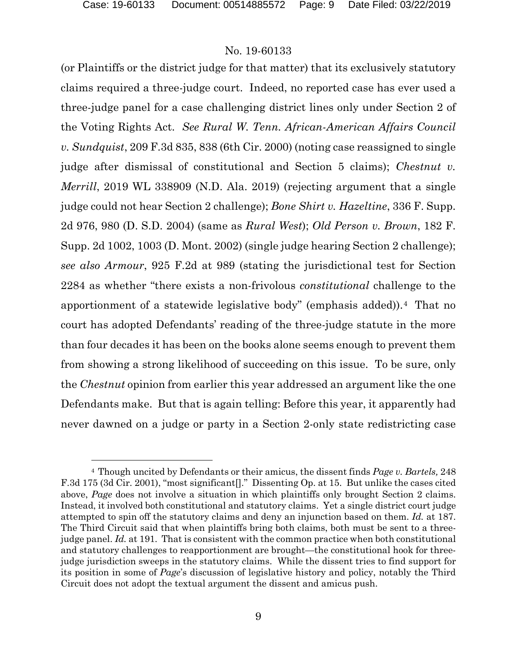### No. 19-60133

(or Plaintiffs or the district judge for that matter) that its exclusively statutory claims required a three-judge court. Indeed, no reported case has ever used a three-judge panel for a case challenging district lines only under Section 2 of the Voting Rights Act. *See Rural W. Tenn. African-American Affairs Council v. Sundquist*, 209 F.3d 835, 838 (6th Cir. 2000) (noting case reassigned to single judge after dismissal of constitutional and Section 5 claims); *Chestnut v. Merrill*, 2019 WL 338909 (N.D. Ala. 2019) (rejecting argument that a single judge could not hear Section 2 challenge); *Bone Shirt v. Hazeltine*, 336 F. Supp. 2d 976, 980 (D. S.D. 2004) (same as *Rural West*); *Old Person v. Brown*, 182 F. Supp. 2d 1002, 1003 (D. Mont. 2002) (single judge hearing Section 2 challenge); *see also Armour*, 925 F.2d at 989 (stating the jurisdictional test for Section 2284 as whether "there exists a non-frivolous *constitutional* challenge to the apportionment of a statewide legislative body" (emphasis added)).<sup>4</sup> That no court has adopted Defendants' reading of the three-judge statute in the more than four decades it has been on the books alone seems enough to prevent them from showing a strong likelihood of succeeding on this issue. To be sure, only the *Chestnut* opinion from earlier this year addressed an argument like the one Defendants make. But that is again telling: Before this year, it apparently had never dawned on a judge or party in a Section 2-only state redistricting case

<span id="page-8-0"></span><sup>4</sup> Though uncited by Defendants or their amicus, the dissent finds *Page v. Bartels,* 248 F.3d 175 (3d Cir. 2001), "most significant[]." Dissenting Op. at 15. But unlike the cases cited above, *Page* does not involve a situation in which plaintiffs only brought Section 2 claims. Instead, it involved both constitutional and statutory claims. Yet a single district court judge attempted to spin off the statutory claims and deny an injunction based on them. *Id.* at 187. The Third Circuit said that when plaintiffs bring both claims, both must be sent to a threejudge panel. *Id.* at 191. That is consistent with the common practice when both constitutional and statutory challenges to reapportionment are brought—the constitutional hook for threejudge jurisdiction sweeps in the statutory claims. While the dissent tries to find support for its position in some of *Page*'s discussion of legislative history and policy, notably the Third Circuit does not adopt the textual argument the dissent and amicus push.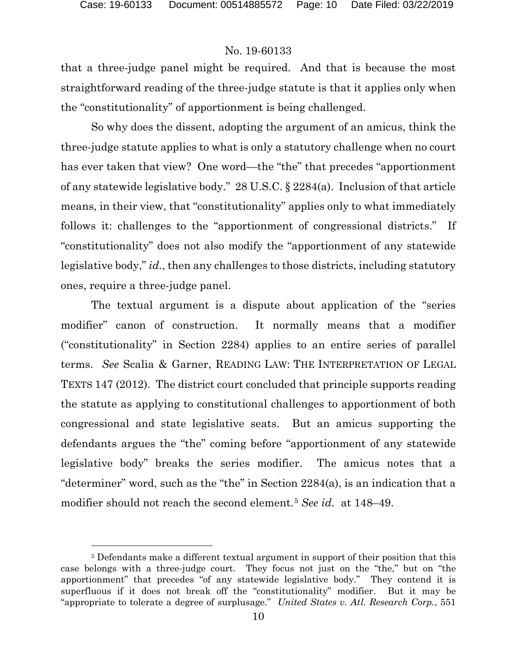### No. 19-60133

that a three-judge panel might be required. And that is because the most straightforward reading of the three-judge statute is that it applies only when the "constitutionality" of apportionment is being challenged.

So why does the dissent, adopting the argument of an amicus, think the three-judge statute applies to what is only a statutory challenge when no court has ever taken that view? One word—the "the" that precedes "apportionment of any statewide legislative body." 28 U.S.C. § 2284(a). Inclusion of that article means, in their view, that "constitutionality" applies only to what immediately follows it: challenges to the "apportionment of congressional districts." If "constitutionality" does not also modify the "apportionment of any statewide legislative body," *id.*, then any challenges to those districts, including statutory ones, require a three-judge panel.

The textual argument is a dispute about application of the "series modifier" canon of construction. It normally means that a modifier ("constitutionality" in Section 2284) applies to an entire series of parallel terms. *See* Scalia & Garner, READING LAW: THE INTERPRETATION OF LEGAL TEXTS 147 (2012). The district court concluded that principle supports reading the statute as applying to constitutional challenges to apportionment of both congressional and state legislative seats. But an amicus supporting the defendants argues the "the" coming before "apportionment of any statewide legislative body" breaks the series modifier. The amicus notes that a "determiner" word, such as the "the" in Section 2284(a), is an indication that a modifier should not reach the second element.[5](#page-9-0) *See id.* at 148–49.

<span id="page-9-0"></span><sup>5</sup> Defendants make a different textual argument in support of their position that this case belongs with a three-judge court. They focus not just on the "the," but on "the apportionment" that precedes "of any statewide legislative body." They contend it is superfluous if it does not break off the "constitutionality" modifier. But it may be "appropriate to tolerate a degree of surplusage." *United States v. Atl. Research Corp.*, 551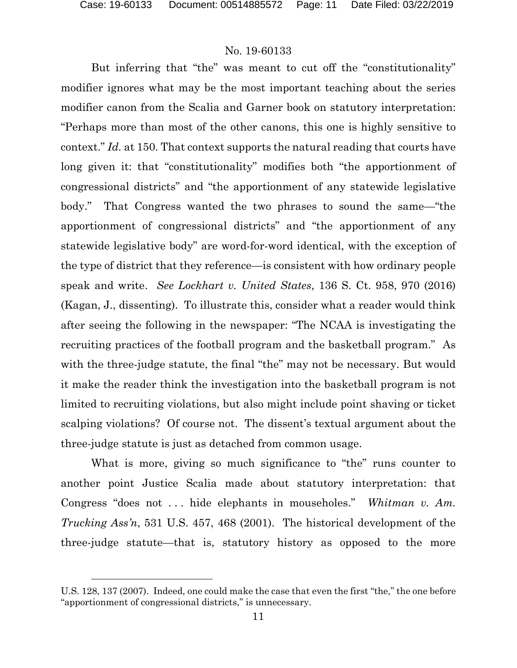But inferring that "the" was meant to cut off the "constitutionality" modifier ignores what may be the most important teaching about the series modifier canon from the Scalia and Garner book on statutory interpretation: "Perhaps more than most of the other canons, this one is highly sensitive to context." *Id.* at 150. That context supports the natural reading that courts have long given it: that "constitutionality" modifies both "the apportionment of congressional districts" and "the apportionment of any statewide legislative body." That Congress wanted the two phrases to sound the same—"the apportionment of congressional districts" and "the apportionment of any statewide legislative body" are word-for-word identical, with the exception of the type of district that they reference—is consistent with how ordinary people speak and write. *See Lockhart v. United States*, 136 S. Ct. 958, 970 (2016) (Kagan, J., dissenting). To illustrate this, consider what a reader would think after seeing the following in the newspaper: "The NCAA is investigating the recruiting practices of the football program and the basketball program." As with the three-judge statute, the final "the" may not be necessary. But would it make the reader think the investigation into the basketball program is not limited to recruiting violations, but also might include point shaving or ticket scalping violations? Of course not. The dissent's textual argument about the three-judge statute is just as detached from common usage.

What is more, giving so much significance to "the" runs counter to another point Justice Scalia made about statutory interpretation: that Congress "does not . . . hide elephants in mouseholes." *Whitman v. Am. Trucking Ass'n*, 531 U.S. 457, 468 (2001). The historical development of the three-judge statute—that is, statutory history as opposed to the more

U.S. 128, 137 (2007). Indeed, one could make the case that even the first "the," the one before "apportionment of congressional districts," is unnecessary.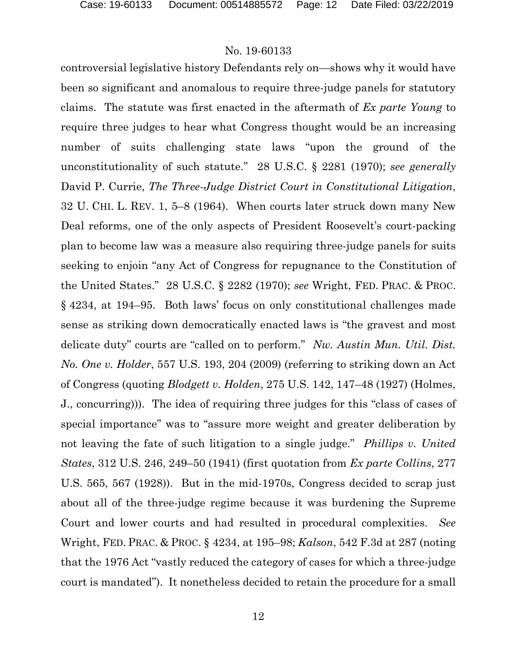controversial legislative history Defendants rely on—shows why it would have been so significant and anomalous to require three-judge panels for statutory claims. The statute was first enacted in the aftermath of *Ex parte Young* to require three judges to hear what Congress thought would be an increasing number of suits challenging state laws "upon the ground of the unconstitutionality of such statute." 28 U.S.C. § 2281 (1970); *see generally* David P. Currie, *The Three-Judge District Court in Constitutional Litigation*, 32 U. CHI. L. REV. 1, 5–8 (1964). When courts later struck down many New Deal reforms, one of the only aspects of President Roosevelt's court-packing plan to become law was a measure also requiring three-judge panels for suits seeking to enjoin "any Act of Congress for repugnance to the Constitution of the United States." 28 U.S.C. § 2282 (1970); *see* Wright, FED. PRAC. & PROC. § 4234, at 194–95. Both laws' focus on only constitutional challenges made sense as striking down democratically enacted laws is "the gravest and most delicate duty" courts are "called on to perform." *Nw. Austin Mun. Util. Dist. No. One v. Holder*, 557 U.S. 193, 204 (2009) (referring to striking down an Act of Congress (quoting *Blodgett v. Holden*, 275 U.S. 142, 147–48 (1927) (Holmes, J., concurring))). The idea of requiring three judges for this "class of cases of special importance" was to "assure more weight and greater deliberation by not leaving the fate of such litigation to a single judge." *Phillips v. United States*, 312 U.S. 246, 249–50 (1941) (first quotation from *Ex parte Collins*, 277 U.S. 565, 567 (1928)). But in the mid-1970s, Congress decided to scrap just about all of the three-judge regime because it was burdening the Supreme Court and lower courts and had resulted in procedural complexities. *See*  Wright, FED. PRAC. & PROC. § 4234, at 195–98; *Kalson*, 542 F.3d at 287 (noting that the 1976 Act "vastly reduced the category of cases for which a three-judge court is mandated"). It nonetheless decided to retain the procedure for a small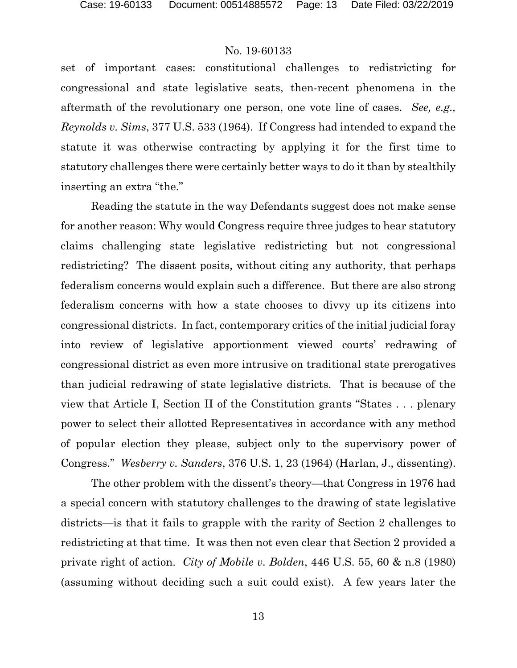set of important cases: constitutional challenges to redistricting for congressional and state legislative seats, then-recent phenomena in the aftermath of the revolutionary one person, one vote line of cases. *See, e.g., Reynolds v. Sims*, 377 U.S. 533 (1964). If Congress had intended to expand the statute it was otherwise contracting by applying it for the first time to statutory challenges there were certainly better ways to do it than by stealthily inserting an extra "the."

Reading the statute in the way Defendants suggest does not make sense for another reason: Why would Congress require three judges to hear statutory claims challenging state legislative redistricting but not congressional redistricting? The dissent posits, without citing any authority, that perhaps federalism concerns would explain such a difference. But there are also strong federalism concerns with how a state chooses to divvy up its citizens into congressional districts. In fact, contemporary critics of the initial judicial foray into review of legislative apportionment viewed courts' redrawing of congressional district as even more intrusive on traditional state prerogatives than judicial redrawing of state legislative districts. That is because of the view that Article I, Section II of the Constitution grants "States . . . plenary power to select their allotted Representatives in accordance with any method of popular election they please, subject only to the supervisory power of Congress." *Wesberry v. Sanders*, 376 U.S. 1, 23 (1964) (Harlan, J., dissenting).

The other problem with the dissent's theory—that Congress in 1976 had a special concern with statutory challenges to the drawing of state legislative districts—is that it fails to grapple with the rarity of Section 2 challenges to redistricting at that time. It was then not even clear that Section 2 provided a private right of action. *City of Mobile v. Bolden*, 446 U.S. 55, 60 & n.8 (1980) (assuming without deciding such a suit could exist). A few years later the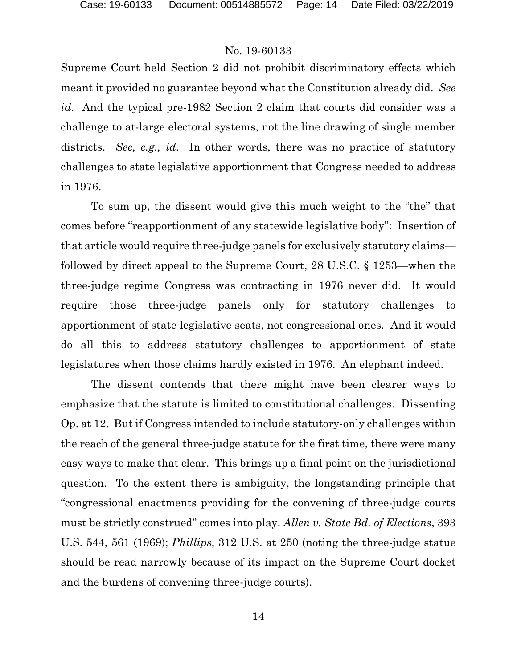Supreme Court held Section 2 did not prohibit discriminatory effects which meant it provided no guarantee beyond what the Constitution already did. *See id*. And the typical pre-1982 Section 2 claim that courts did consider was a challenge to at-large electoral systems, not the line drawing of single member districts. *See, e.g., id*. In other words, there was no practice of statutory challenges to state legislative apportionment that Congress needed to address in 1976.

To sum up, the dissent would give this much weight to the "the" that comes before "reapportionment of any statewide legislative body": Insertion of that article would require three-judge panels for exclusively statutory claims followed by direct appeal to the Supreme Court, 28 U.S.C. § 1253—when the three-judge regime Congress was contracting in 1976 never did. It would require those three-judge panels only for statutory challenges to apportionment of state legislative seats, not congressional ones. And it would do all this to address statutory challenges to apportionment of state legislatures when those claims hardly existed in 1976. An elephant indeed.

The dissent contends that there might have been clearer ways to emphasize that the statute is limited to constitutional challenges. Dissenting Op. at 12. But if Congress intended to include statutory-only challenges within the reach of the general three-judge statute for the first time, there were many easy ways to make that clear. This brings up a final point on the jurisdictional question. To the extent there is ambiguity, the longstanding principle that "congressional enactments providing for the convening of three-judge courts must be strictly construed" comes into play. *Allen v. State Bd. of Elections*, 393 U.S. 544, 561 (1969); *Phillips*, 312 U.S. at 250 (noting the three-judge statue should be read narrowly because of its impact on the Supreme Court docket and the burdens of convening three-judge courts).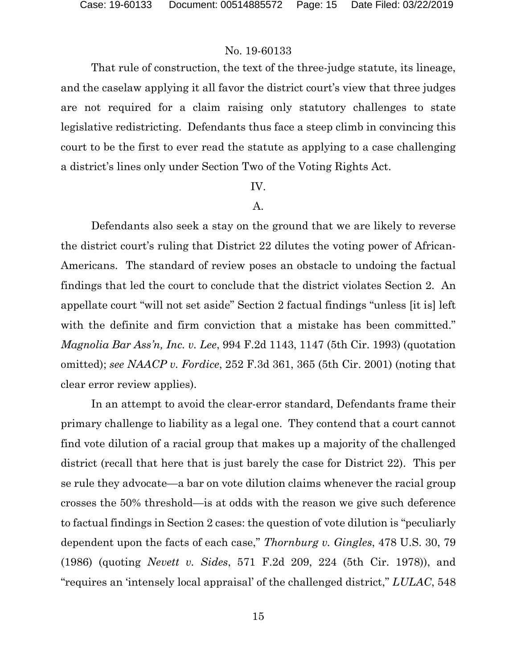That rule of construction, the text of the three-judge statute, its lineage, and the caselaw applying it all favor the district court's view that three judges are not required for a claim raising only statutory challenges to state legislative redistricting. Defendants thus face a steep climb in convincing this court to be the first to ever read the statute as applying to a case challenging a district's lines only under Section Two of the Voting Rights Act.

### IV.

### A.

Defendants also seek a stay on the ground that we are likely to reverse the district court's ruling that District 22 dilutes the voting power of African-Americans. The standard of review poses an obstacle to undoing the factual findings that led the court to conclude that the district violates Section 2. An appellate court "will not set aside" Section 2 factual findings "unless [it is] left with the definite and firm conviction that a mistake has been committed." *Magnolia Bar Ass'n, Inc. v. Lee*, 994 F.2d 1143, 1147 (5th Cir. 1993) (quotation omitted); *see NAACP v. Fordice*, 252 F.3d 361, 365 (5th Cir. 2001) (noting that clear error review applies).

In an attempt to avoid the clear-error standard, Defendants frame their primary challenge to liability as a legal one. They contend that a court cannot find vote dilution of a racial group that makes up a majority of the challenged district (recall that here that is just barely the case for District 22). This per se rule they advocate—a bar on vote dilution claims whenever the racial group crosses the 50% threshold—is at odds with the reason we give such deference to factual findings in Section 2 cases: the question of vote dilution is "peculiarly dependent upon the facts of each case," *Thornburg v. Gingles*, 478 U.S. 30, 79 (1986) (quoting *Nevett v. Sides*, 571 F.2d 209, 224 (5th Cir. 1978)), and "requires an 'intensely local appraisal' of the challenged district," *LULAC*, 548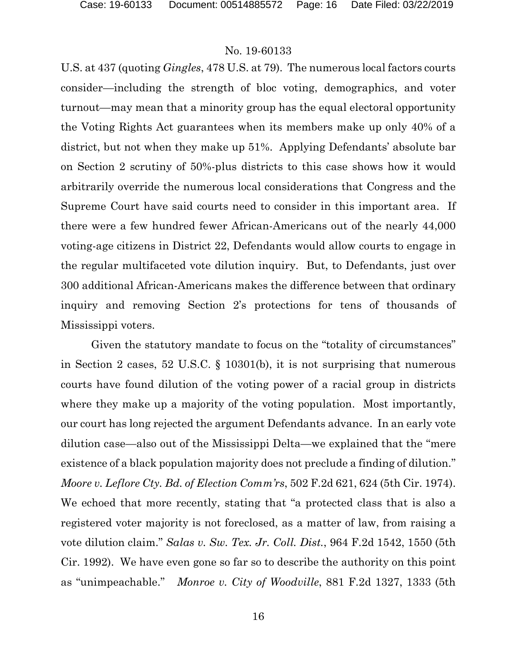U.S. at 437 (quoting *Gingles*, 478 U.S. at 79). The numerous local factors courts consider—including the strength of bloc voting, demographics, and voter turnout—may mean that a minority group has the equal electoral opportunity the Voting Rights Act guarantees when its members make up only 40% of a district, but not when they make up 51%. Applying Defendants' absolute bar on Section 2 scrutiny of 50%-plus districts to this case shows how it would arbitrarily override the numerous local considerations that Congress and the Supreme Court have said courts need to consider in this important area. If there were a few hundred fewer African-Americans out of the nearly 44,000 voting-age citizens in District 22, Defendants would allow courts to engage in the regular multifaceted vote dilution inquiry. But, to Defendants, just over 300 additional African-Americans makes the difference between that ordinary inquiry and removing Section 2's protections for tens of thousands of Mississippi voters.

Given the statutory mandate to focus on the "totality of circumstances" in Section 2 cases, 52 U.S.C. § 10301(b), it is not surprising that numerous courts have found dilution of the voting power of a racial group in districts where they make up a majority of the voting population. Most importantly, our court has long rejected the argument Defendants advance. In an early vote dilution case—also out of the Mississippi Delta—we explained that the "mere existence of a black population majority does not preclude a finding of dilution." *Moore v. Leflore Cty. Bd. of Election Comm'rs*, 502 F.2d 621, 624 (5th Cir. 1974). We echoed that more recently, stating that "a protected class that is also a registered voter majority is not foreclosed, as a matter of law, from raising a vote dilution claim." *Salas v. Sw. Tex. Jr. Coll. Dist.*, 964 F.2d 1542, 1550 (5th Cir. 1992). We have even gone so far so to describe the authority on this point as "unimpeachable." *Monroe v. City of Woodville*, 881 F.2d 1327, 1333 (5th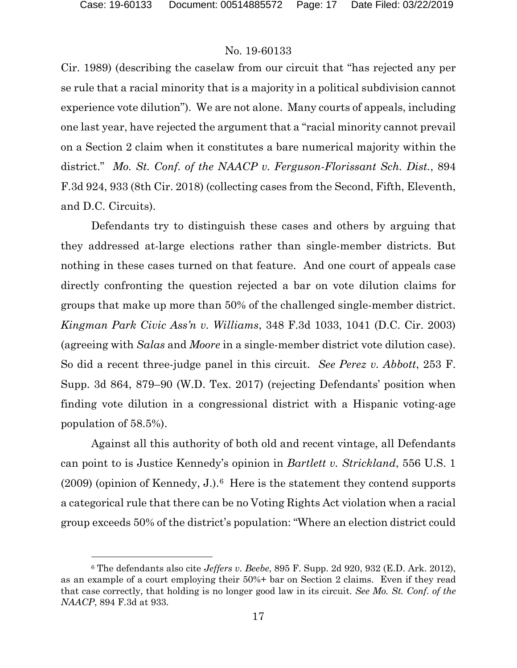### No. 19-60133

Cir. 1989) (describing the caselaw from our circuit that "has rejected any per se rule that a racial minority that is a majority in a political subdivision cannot experience vote dilution"). We are not alone. Many courts of appeals, including one last year, have rejected the argument that a "racial minority cannot prevail on a Section 2 claim when it constitutes a bare numerical majority within the district." *Mo. St. Conf. of the NAACP v. Ferguson-Florissant Sch. Dist.*, 894 F.3d 924, 933 (8th Cir. 2018) (collecting cases from the Second, Fifth, Eleventh, and D.C. Circuits).

Defendants try to distinguish these cases and others by arguing that they addressed at-large elections rather than single-member districts. But nothing in these cases turned on that feature. And one court of appeals case directly confronting the question rejected a bar on vote dilution claims for groups that make up more than 50% of the challenged single-member district. *Kingman Park Civic Ass'n v. Williams*, 348 F.3d 1033, 1041 (D.C. Cir. 2003) (agreeing with *Salas* and *Moore* in a single-member district vote dilution case). So did a recent three-judge panel in this circuit. *See Perez v. Abbott*, 253 F. Supp. 3d 864, 879–90 (W.D. Tex. 2017) (rejecting Defendants' position when finding vote dilution in a congressional district with a Hispanic voting-age population of 58.5%).

Against all this authority of both old and recent vintage, all Defendants can point to is Justice Kennedy's opinion in *Bartlett v. Strickland*, 556 U.S. 1  $(2009)$  (opinion of Kennedy, J.).<sup>[6](#page-16-0)</sup> Here is the statement they contend supports a categorical rule that there can be no Voting Rights Act violation when a racial group exceeds 50% of the district's population: "Where an election district could

<span id="page-16-0"></span><sup>6</sup> The defendants also cite *Jeffers v. Beebe*, 895 F. Supp. 2d 920, 932 (E.D. Ark. 2012), as an example of a court employing their 50%+ bar on Section 2 claims. Even if they read that case correctly, that holding is no longer good law in its circuit. *See Mo. St. Conf. of the NAACP*, 894 F.3d at 933.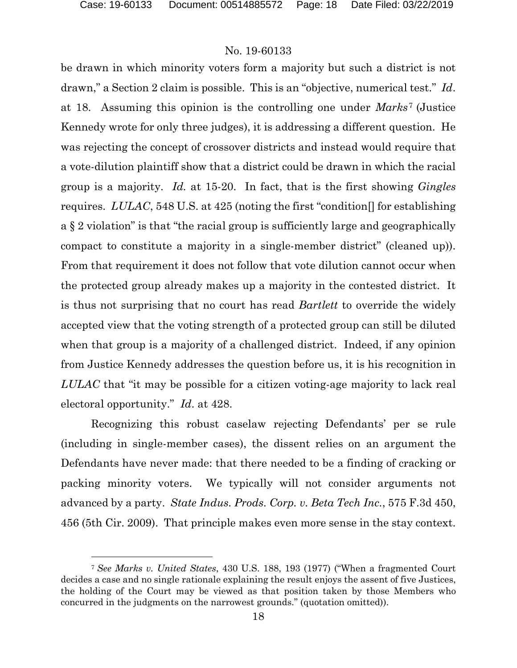### No. 19-60133

be drawn in which minority voters form a majority but such a district is not drawn," a Section 2 claim is possible. This is an "objective, numerical test." *Id*. at 18. Assuming this opinion is the controlling one under *Marks*[7](#page-17-0) (Justice Kennedy wrote for only three judges), it is addressing a different question. He was rejecting the concept of crossover districts and instead would require that a vote-dilution plaintiff show that a district could be drawn in which the racial group is a majority. *Id.* at 15-20. In fact, that is the first showing *Gingles*  requires. *LULAC*, 548 U.S. at 425 (noting the first "condition[] for establishing a § 2 violation" is that "the racial group is sufficiently large and geographically compact to constitute a majority in a single-member district" (cleaned up)). From that requirement it does not follow that vote dilution cannot occur when the protected group already makes up a majority in the contested district. It is thus not surprising that no court has read *Bartlett* to override the widely accepted view that the voting strength of a protected group can still be diluted when that group is a majority of a challenged district. Indeed, if any opinion from Justice Kennedy addresses the question before us, it is his recognition in *LULAC* that "it may be possible for a citizen voting-age majority to lack real electoral opportunity." *Id*. at 428.

Recognizing this robust caselaw rejecting Defendants' per se rule (including in single-member cases), the dissent relies on an argument the Defendants have never made: that there needed to be a finding of cracking or packing minority voters. We typically will not consider arguments not advanced by a party. *State Indus. Prods. Corp. v. Beta Tech Inc.*, 575 F.3d 450, 456 (5th Cir. 2009). That principle makes even more sense in the stay context.

<span id="page-17-0"></span><sup>7</sup> *See Marks v. United States*, 430 U.S. 188, 193 (1977) ("When a fragmented Court decides a case and no single rationale explaining the result enjoys the assent of five Justices, the holding of the Court may be viewed as that position taken by those Members who concurred in the judgments on the narrowest grounds." (quotation omitted)).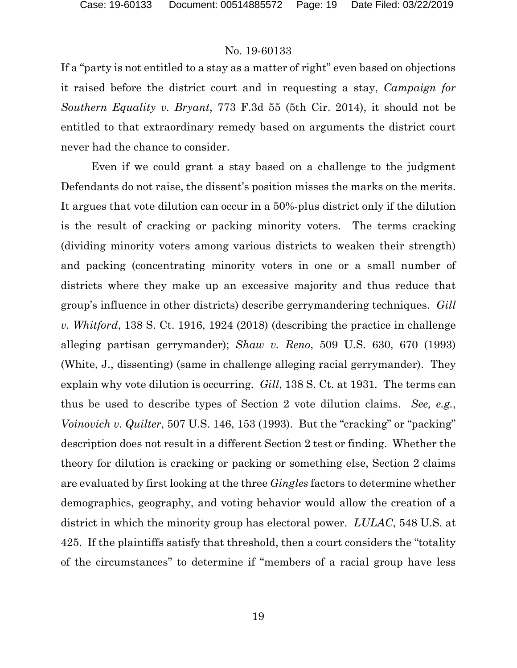If a "party is not entitled to a stay as a matter of right" even based on objections it raised before the district court and in requesting a stay, *Campaign for Southern Equality v. Bryant*, 773 F.3d 55 (5th Cir. 2014), it should not be entitled to that extraordinary remedy based on arguments the district court never had the chance to consider.

Even if we could grant a stay based on a challenge to the judgment Defendants do not raise, the dissent's position misses the marks on the merits. It argues that vote dilution can occur in a 50%-plus district only if the dilution is the result of cracking or packing minority voters. The terms cracking (dividing minority voters among various districts to weaken their strength) and packing (concentrating minority voters in one or a small number of districts where they make up an excessive majority and thus reduce that group's influence in other districts) describe gerrymandering techniques. *Gill v. Whitford*, 138 S. Ct. 1916, 1924 (2018) (describing the practice in challenge alleging partisan gerrymander); *Shaw v. Reno*, 509 U.S. 630, 670 (1993) (White, J., dissenting) (same in challenge alleging racial gerrymander). They explain why vote dilution is occurring. *Gill*, 138 S. Ct. at 1931*.* The terms can thus be used to describe types of Section 2 vote dilution claims. *See, e.g.*, *Voinovich v. Quilter*, 507 U.S. 146, 153 (1993). But the "cracking" or "packing" description does not result in a different Section 2 test or finding. Whether the theory for dilution is cracking or packing or something else, Section 2 claims are evaluated by first looking at the three *Gingles* factors to determine whether demographics, geography, and voting behavior would allow the creation of a district in which the minority group has electoral power. *LULAC*, 548 U.S. at 425. If the plaintiffs satisfy that threshold, then a court considers the "totality of the circumstances" to determine if "members of a racial group have less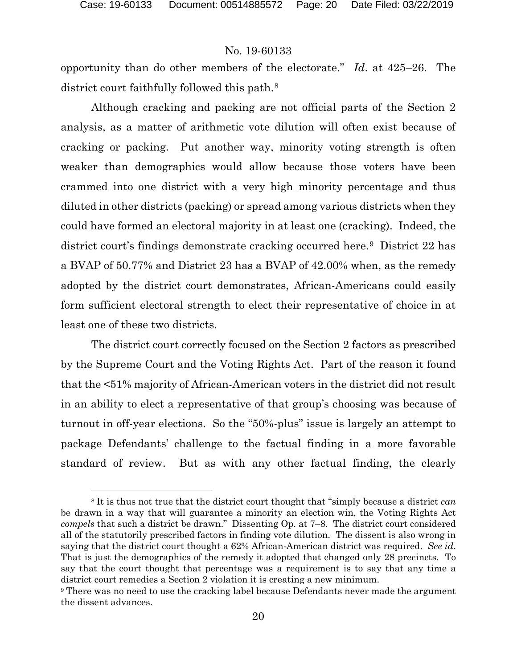### No. 19-60133

opportunity than do other members of the electorate." *Id*. at 425–26. The district court faithfully followed this path.<sup>[8](#page-19-0)</sup>

Although cracking and packing are not official parts of the Section 2 analysis, as a matter of arithmetic vote dilution will often exist because of cracking or packing. Put another way, minority voting strength is often weaker than demographics would allow because those voters have been crammed into one district with a very high minority percentage and thus diluted in other districts (packing) or spread among various districts when they could have formed an electoral majority in at least one (cracking). Indeed, the district court's findings demonstrate cracking occurred here.[9](#page-19-1) District 22 has a BVAP of 50.77% and District 23 has a BVAP of 42.00% when, as the remedy adopted by the district court demonstrates, African-Americans could easily form sufficient electoral strength to elect their representative of choice in at least one of these two districts.

The district court correctly focused on the Section 2 factors as prescribed by the Supreme Court and the Voting Rights Act. Part of the reason it found that the <51% majority of African-American voters in the district did not result in an ability to elect a representative of that group's choosing was because of turnout in off-year elections. So the "50%-plus" issue is largely an attempt to package Defendants' challenge to the factual finding in a more favorable standard of review. But as with any other factual finding, the clearly

<span id="page-19-0"></span><sup>8</sup> It is thus not true that the district court thought that "simply because a district *can*  be drawn in a way that will guarantee a minority an election win, the Voting Rights Act *compels* that such a district be drawn." Dissenting Op. at 7–8. The district court considered all of the statutorily prescribed factors in finding vote dilution. The dissent is also wrong in saying that the district court thought a 62% African-American district was required. *See id*. That is just the demographics of the remedy it adopted that changed only 28 precincts. To say that the court thought that percentage was a requirement is to say that any time a district court remedies a Section 2 violation it is creating a new minimum.

<span id="page-19-1"></span><sup>9</sup> There was no need to use the cracking label because Defendants never made the argument the dissent advances.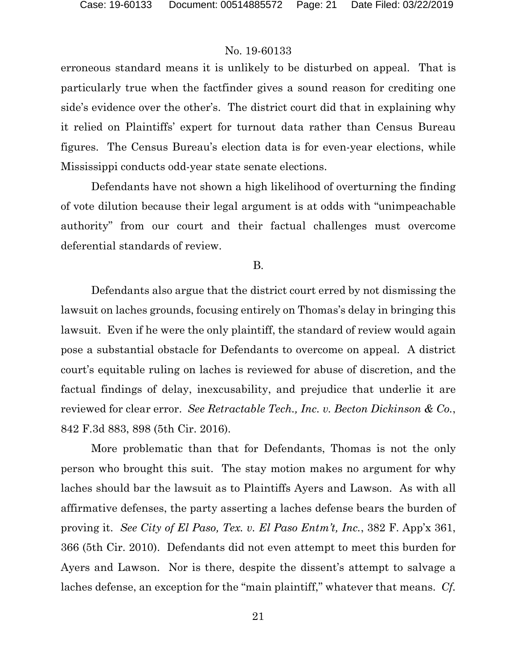erroneous standard means it is unlikely to be disturbed on appeal. That is particularly true when the factfinder gives a sound reason for crediting one side's evidence over the other's. The district court did that in explaining why it relied on Plaintiffs' expert for turnout data rather than Census Bureau figures. The Census Bureau's election data is for even-year elections, while Mississippi conducts odd-year state senate elections.

Defendants have not shown a high likelihood of overturning the finding of vote dilution because their legal argument is at odds with "unimpeachable authority" from our court and their factual challenges must overcome deferential standards of review.

#### B.

Defendants also argue that the district court erred by not dismissing the lawsuit on laches grounds, focusing entirely on Thomas's delay in bringing this lawsuit. Even if he were the only plaintiff, the standard of review would again pose a substantial obstacle for Defendants to overcome on appeal. A district court's equitable ruling on laches is reviewed for abuse of discretion, and the factual findings of delay, inexcusability, and prejudice that underlie it are reviewed for clear error. *See Retractable Tech., Inc. v. Becton Dickinson & Co.*, 842 F.3d 883, 898 (5th Cir. 2016).

More problematic than that for Defendants, Thomas is not the only person who brought this suit. The stay motion makes no argument for why laches should bar the lawsuit as to Plaintiffs Ayers and Lawson. As with all affirmative defenses, the party asserting a laches defense bears the burden of proving it. *See City of El Paso, Tex. v. El Paso Entm't, Inc.*, 382 F. App'x 361, 366 (5th Cir. 2010). Defendants did not even attempt to meet this burden for Ayers and Lawson. Nor is there, despite the dissent's attempt to salvage a laches defense, an exception for the "main plaintiff," whatever that means. *Cf.*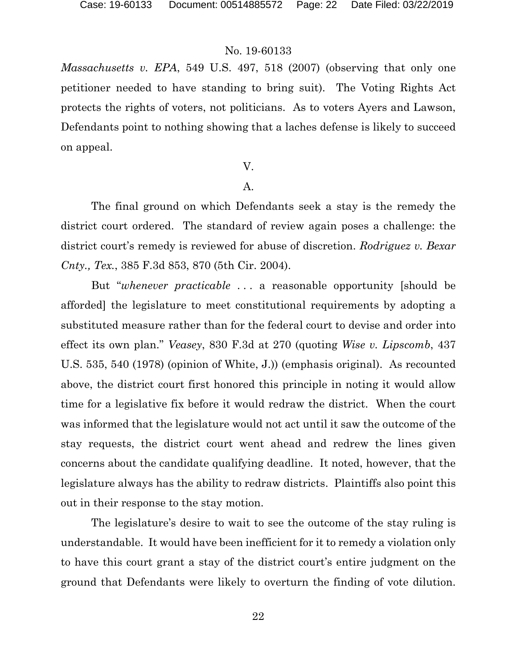*Massachusetts v. EPA*, 549 U.S. 497, 518 (2007) (observing that only one petitioner needed to have standing to bring suit).The Voting Rights Act protects the rights of voters, not politicians. As to voters Ayers and Lawson, Defendants point to nothing showing that a laches defense is likely to succeed on appeal.

### V.

### A.

The final ground on which Defendants seek a stay is the remedy the district court ordered. The standard of review again poses a challenge: the district court's remedy is reviewed for abuse of discretion. *Rodriguez v. Bexar Cnty., Tex.*, 385 F.3d 853, 870 (5th Cir. 2004).

But "*whenever practicable* . . . a reasonable opportunity [should be afforded] the legislature to meet constitutional requirements by adopting a substituted measure rather than for the federal court to devise and order into effect its own plan." *Veasey*, 830 F.3d at 270 (quoting *Wise v. Lipscomb*, 437 U.S. 535, 540 (1978) (opinion of White, J.)) (emphasis original). As recounted above, the district court first honored this principle in noting it would allow time for a legislative fix before it would redraw the district. When the court was informed that the legislature would not act until it saw the outcome of the stay requests, the district court went ahead and redrew the lines given concerns about the candidate qualifying deadline. It noted, however, that the legislature always has the ability to redraw districts. Plaintiffs also point this out in their response to the stay motion.

The legislature's desire to wait to see the outcome of the stay ruling is understandable. It would have been inefficient for it to remedy a violation only to have this court grant a stay of the district court's entire judgment on the ground that Defendants were likely to overturn the finding of vote dilution.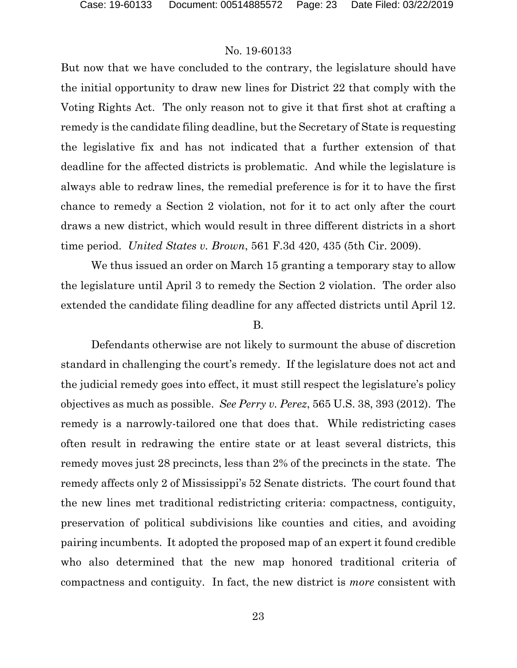But now that we have concluded to the contrary, the legislature should have the initial opportunity to draw new lines for District 22 that comply with the Voting Rights Act. The only reason not to give it that first shot at crafting a remedy is the candidate filing deadline, but the Secretary of State is requesting the legislative fix and has not indicated that a further extension of that deadline for the affected districts is problematic. And while the legislature is always able to redraw lines, the remedial preference is for it to have the first chance to remedy a Section 2 violation, not for it to act only after the court draws a new district, which would result in three different districts in a short time period. *United States v. Brown*, 561 F.3d 420, 435 (5th Cir. 2009).

We thus issued an order on March 15 granting a temporary stay to allow the legislature until April 3 to remedy the Section 2 violation. The order also extended the candidate filing deadline for any affected districts until April 12.

#### B.

Defendants otherwise are not likely to surmount the abuse of discretion standard in challenging the court's remedy. If the legislature does not act and the judicial remedy goes into effect, it must still respect the legislature's policy objectives as much as possible. *See Perry v. Perez*, 565 U.S. 38, 393 (2012). The remedy is a narrowly-tailored one that does that. While redistricting cases often result in redrawing the entire state or at least several districts, this remedy moves just 28 precincts, less than 2% of the precincts in the state. The remedy affects only 2 of Mississippi's 52 Senate districts. The court found that the new lines met traditional redistricting criteria: compactness, contiguity, preservation of political subdivisions like counties and cities, and avoiding pairing incumbents. It adopted the proposed map of an expert it found credible who also determined that the new map honored traditional criteria of compactness and contiguity. In fact, the new district is *more* consistent with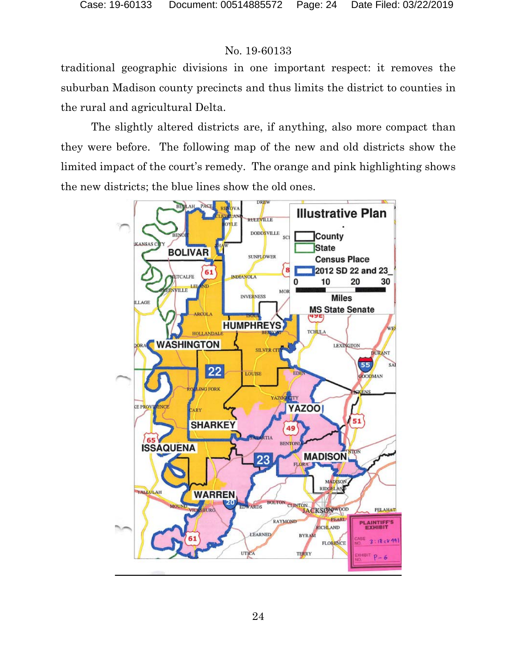traditional geographic divisions in one important respect: it removes the suburban Madison county precincts and thus limits the district to counties in the rural and agricultural Delta.

The slightly altered districts are, if anything, also more compact than they were before. The following map of the new and old districts show the limited impact of the court's remedy. The orange and pink highlighting shows the new districts; the blue lines show the old ones.

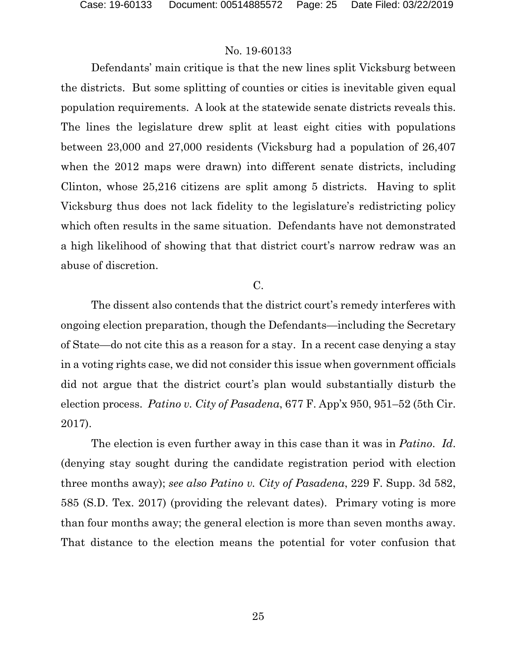Defendants' main critique is that the new lines split Vicksburg between the districts. But some splitting of counties or cities is inevitable given equal population requirements. A look at the statewide senate districts reveals this. The lines the legislature drew split at least eight cities with populations between 23,000 and 27,000 residents (Vicksburg had a population of 26,407 when the 2012 maps were drawn) into different senate districts, including Clinton, whose 25,216 citizens are split among 5 districts. Having to split Vicksburg thus does not lack fidelity to the legislature's redistricting policy which often results in the same situation. Defendants have not demonstrated a high likelihood of showing that that district court's narrow redraw was an abuse of discretion.

### C.

The dissent also contends that the district court's remedy interferes with ongoing election preparation, though the Defendants—including the Secretary of State—do not cite this as a reason for a stay. In a recent case denying a stay in a voting rights case, we did not consider this issue when government officials did not argue that the district court's plan would substantially disturb the election process. *Patino v. City of Pasadena*, 677 F. App'x 950, 951–52 (5th Cir. 2017).

The election is even further away in this case than it was in *Patino*. *Id*. (denying stay sought during the candidate registration period with election three months away); *see also Patino v. City of Pasadena*, 229 F. Supp. 3d 582, 585 (S.D. Tex. 2017) (providing the relevant dates). Primary voting is more than four months away; the general election is more than seven months away. That distance to the election means the potential for voter confusion that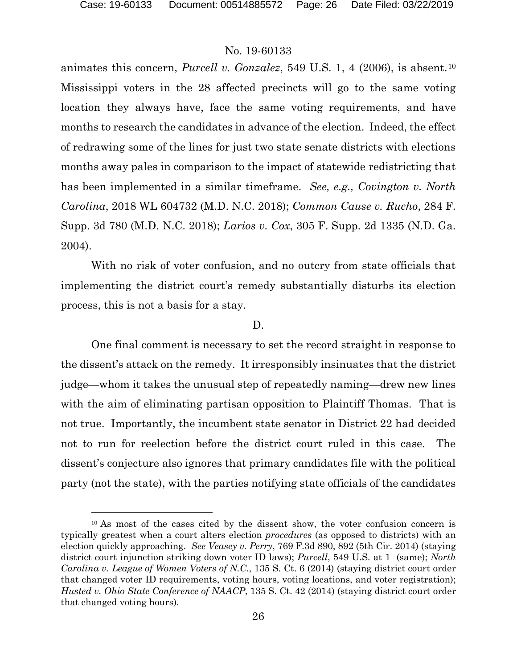### No. 19-60133

animates this concern, *Purcell v. Gonzalez*, 549 U.S. 1, 4 (2006), is absent.[10](#page-25-0) Mississippi voters in the 28 affected precincts will go to the same voting location they always have, face the same voting requirements, and have months to research the candidates in advance of the election. Indeed, the effect of redrawing some of the lines for just two state senate districts with elections months away pales in comparison to the impact of statewide redistricting that has been implemented in a similar timeframe. *See, e.g., Covington v. North Carolina*, 2018 WL 604732 (M.D. N.C. 2018); *Common Cause v. Rucho*, 284 F. Supp. 3d 780 (M.D. N.C. 2018); *Larios v. Cox*, 305 F. Supp. 2d 1335 (N.D. Ga. 2004).

With no risk of voter confusion, and no outcry from state officials that implementing the district court's remedy substantially disturbs its election process, this is not a basis for a stay.

### D.

One final comment is necessary to set the record straight in response to the dissent's attack on the remedy. It irresponsibly insinuates that the district judge—whom it takes the unusual step of repeatedly naming—drew new lines with the aim of eliminating partisan opposition to Plaintiff Thomas. That is not true. Importantly, the incumbent state senator in District 22 had decided not to run for reelection before the district court ruled in this case. The dissent's conjecture also ignores that primary candidates file with the political party (not the state), with the parties notifying state officials of the candidates

<span id="page-25-0"></span><sup>10</sup> As most of the cases cited by the dissent show, the voter confusion concern is typically greatest when a court alters election *procedures* (as opposed to districts) with an election quickly approaching. *See Veasey v. Perry*, 769 F.3d 890, 892 (5th Cir. 2014) (staying district court injunction striking down voter ID laws); *Purcell*, 549 U.S. at 1 (same); *North Carolina v. League of Women Voters of N.C.*, 135 S. Ct. 6 (2014) (staying district court order that changed voter ID requirements, voting hours, voting locations, and voter registration); *Husted v. Ohio State Conference of NAACP*, 135 S. Ct. 42 (2014) (staying district court order that changed voting hours).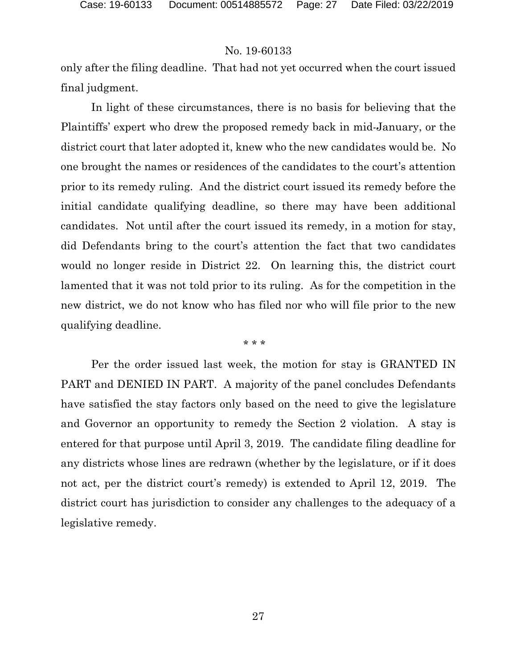only after the filing deadline. That had not yet occurred when the court issued final judgment.

In light of these circumstances, there is no basis for believing that the Plaintiffs' expert who drew the proposed remedy back in mid-January, or the district court that later adopted it, knew who the new candidates would be. No one brought the names or residences of the candidates to the court's attention prior to its remedy ruling. And the district court issued its remedy before the initial candidate qualifying deadline, so there may have been additional candidates. Not until after the court issued its remedy, in a motion for stay, did Defendants bring to the court's attention the fact that two candidates would no longer reside in District 22. On learning this, the district court lamented that it was not told prior to its ruling. As for the competition in the new district, we do not know who has filed nor who will file prior to the new qualifying deadline.

\* \* \*

Per the order issued last week, the motion for stay is GRANTED IN PART and DENIED IN PART. A majority of the panel concludes Defendants have satisfied the stay factors only based on the need to give the legislature and Governor an opportunity to remedy the Section 2 violation. A stay is entered for that purpose until April 3, 2019. The candidate filing deadline for any districts whose lines are redrawn (whether by the legislature, or if it does not act, per the district court's remedy) is extended to April 12, 2019. The district court has jurisdiction to consider any challenges to the adequacy of a legislative remedy.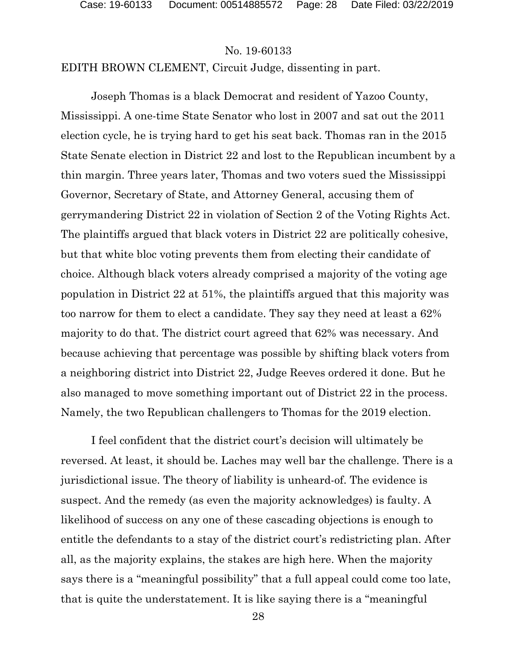EDITH BROWN CLEMENT, Circuit Judge, dissenting in part.

Joseph Thomas is a black Democrat and resident of Yazoo County, Mississippi. A one-time State Senator who lost in 2007 and sat out the 2011 election cycle, he is trying hard to get his seat back. Thomas ran in the 2015 State Senate election in District 22 and lost to the Republican incumbent by a thin margin. Three years later, Thomas and two voters sued the Mississippi Governor, Secretary of State, and Attorney General, accusing them of gerrymandering District 22 in violation of Section 2 of the Voting Rights Act. The plaintiffs argued that black voters in District 22 are politically cohesive, but that white bloc voting prevents them from electing their candidate of choice. Although black voters already comprised a majority of the voting age population in District 22 at 51%, the plaintiffs argued that this majority was too narrow for them to elect a candidate. They say they need at least a 62% majority to do that. The district court agreed that 62% was necessary. And because achieving that percentage was possible by shifting black voters from a neighboring district into District 22, Judge Reeves ordered it done. But he also managed to move something important out of District 22 in the process. Namely, the two Republican challengers to Thomas for the 2019 election.

I feel confident that the district court's decision will ultimately be reversed. At least, it should be. Laches may well bar the challenge. There is a jurisdictional issue. The theory of liability is unheard-of. The evidence is suspect. And the remedy (as even the majority acknowledges) is faulty. A likelihood of success on any one of these cascading objections is enough to entitle the defendants to a stay of the district court's redistricting plan. After all, as the majority explains, the stakes are high here. When the majority says there is a "meaningful possibility" that a full appeal could come too late, that is quite the understatement. It is like saying there is a "meaningful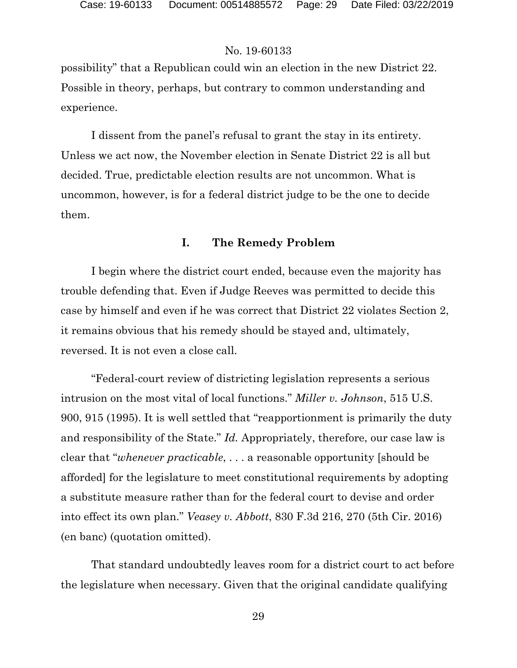possibility" that a Republican could win an election in the new District 22. Possible in theory, perhaps, but contrary to common understanding and experience.

I dissent from the panel's refusal to grant the stay in its entirety. Unless we act now, the November election in Senate District 22 is all but decided. True, predictable election results are not uncommon. What is uncommon, however, is for a federal district judge to be the one to decide them.

## **I. The Remedy Problem**

I begin where the district court ended, because even the majority has trouble defending that. Even if Judge Reeves was permitted to decide this case by himself and even if he was correct that District 22 violates Section 2, it remains obvious that his remedy should be stayed and, ultimately, reversed. It is not even a close call.

"Federal-court review of districting legislation represents a serious intrusion on the most vital of local functions." *Miller v. Johnson*, 515 U.S. 900, 915 (1995). It is well settled that "reapportionment is primarily the duty and responsibility of the State." *Id.* Appropriately, therefore, our case law is clear that "*whenever practicable*, . . . a reasonable opportunity [should be afforded] for the legislature to meet constitutional requirements by adopting a substitute measure rather than for the federal court to devise and order into effect its own plan." *Veasey v. Abbott*, 830 F.3d 216, 270 (5th Cir. 2016) (en banc) (quotation omitted).

That standard undoubtedly leaves room for a district court to act before the legislature when necessary. Given that the original candidate qualifying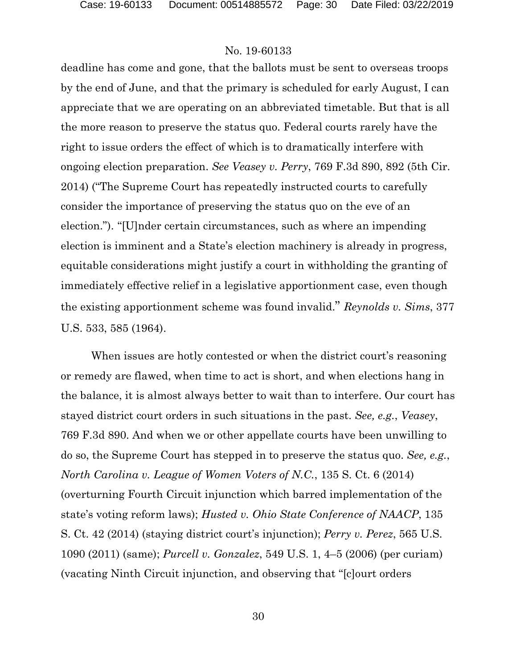deadline has come and gone, that the ballots must be sent to overseas troops by the end of June, and that the primary is scheduled for early August, I can appreciate that we are operating on an abbreviated timetable. But that is all the more reason to preserve the status quo. Federal courts rarely have the right to issue orders the effect of which is to dramatically interfere with ongoing election preparation. *See Veasey v. Perry*, 769 F.3d 890, 892 (5th Cir. 2014) ("The Supreme Court has repeatedly instructed courts to carefully consider the importance of preserving the status quo on the eve of an election."). "[U]nder certain circumstances, such as where an impending election is imminent and a State's election machinery is already in progress, equitable considerations might justify a court in withholding the granting of immediately effective relief in a legislative apportionment case, even though the existing apportionment scheme was found invalid." *Reynolds v. Sims*, 377 U.S. 533, 585 (1964).

When issues are hotly contested or when the district court's reasoning or remedy are flawed, when time to act is short, and when elections hang in the balance, it is almost always better to wait than to interfere. Our court has stayed district court orders in such situations in the past. *See, e.g.*, *Veasey*, 769 F.3d 890. And when we or other appellate courts have been unwilling to do so, the Supreme Court has stepped in to preserve the status quo. *See, e.g.*, *North Carolina v. League of Women Voters of N.C.*, 135 S. Ct. 6 (2014) (overturning Fourth Circuit injunction which barred implementation of the state's voting reform laws); *Husted v. Ohio State Conference of NAACP*, 135 S. Ct. 42 (2014) (staying district court's injunction); *Perry v. Perez*, 565 U.S. 1090 (2011) (same); *Purcell v. Gonzalez*, 549 U.S. 1, 4–5 (2006) (per curiam) (vacating Ninth Circuit injunction, and observing that "[c]ourt orders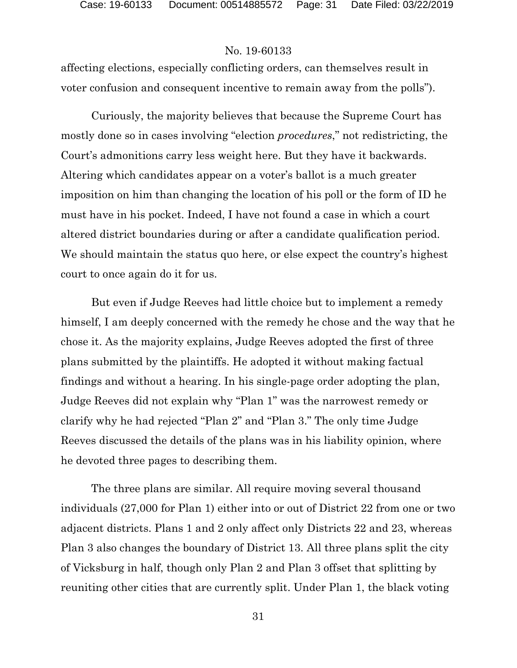affecting elections, especially conflicting orders, can themselves result in voter confusion and consequent incentive to remain away from the polls").

Curiously, the majority believes that because the Supreme Court has mostly done so in cases involving "election *procedures*," not redistricting, the Court's admonitions carry less weight here. But they have it backwards. Altering which candidates appear on a voter's ballot is a much greater imposition on him than changing the location of his poll or the form of ID he must have in his pocket. Indeed, I have not found a case in which a court altered district boundaries during or after a candidate qualification period. We should maintain the status quo here, or else expect the country's highest court to once again do it for us.

But even if Judge Reeves had little choice but to implement a remedy himself, I am deeply concerned with the remedy he chose and the way that he chose it. As the majority explains, Judge Reeves adopted the first of three plans submitted by the plaintiffs. He adopted it without making factual findings and without a hearing. In his single-page order adopting the plan, Judge Reeves did not explain why "Plan 1" was the narrowest remedy or clarify why he had rejected "Plan 2" and "Plan 3." The only time Judge Reeves discussed the details of the plans was in his liability opinion, where he devoted three pages to describing them.

The three plans are similar. All require moving several thousand individuals (27,000 for Plan 1) either into or out of District 22 from one or two adjacent districts. Plans 1 and 2 only affect only Districts 22 and 23, whereas Plan 3 also changes the boundary of District 13. All three plans split the city of Vicksburg in half, though only Plan 2 and Plan 3 offset that splitting by reuniting other cities that are currently split. Under Plan 1, the black voting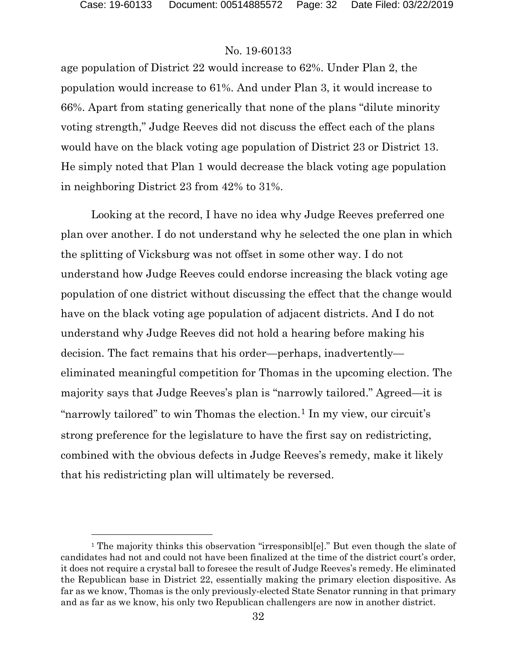l

### No. 19-60133

age population of District 22 would increase to 62%. Under Plan 2, the population would increase to 61%. And under Plan 3, it would increase to 66%. Apart from stating generically that none of the plans "dilute minority voting strength," Judge Reeves did not discuss the effect each of the plans would have on the black voting age population of District 23 or District 13. He simply noted that Plan 1 would decrease the black voting age population in neighboring District 23 from 42% to 31%.

Looking at the record, I have no idea why Judge Reeves preferred one plan over another. I do not understand why he selected the one plan in which the splitting of Vicksburg was not offset in some other way. I do not understand how Judge Reeves could endorse increasing the black voting age population of one district without discussing the effect that the change would have on the black voting age population of adjacent districts. And I do not understand why Judge Reeves did not hold a hearing before making his decision. The fact remains that his order—perhaps, inadvertently eliminated meaningful competition for Thomas in the upcoming election. The majority says that Judge Reeves's plan is "narrowly tailored." Agreed—it is "narrowly tailored" to win Thomas the election.<sup>[1](#page-31-0)</sup> In my view, our circuit's strong preference for the legislature to have the first say on redistricting, combined with the obvious defects in Judge Reeves's remedy, make it likely that his redistricting plan will ultimately be reversed.

<span id="page-31-0"></span><sup>&</sup>lt;sup>1</sup> The majority thinks this observation "irresponsible". But even though the slate of candidates had not and could not have been finalized at the time of the district court's order, it does not require a crystal ball to foresee the result of Judge Reeves's remedy. He eliminated the Republican base in District 22, essentially making the primary election dispositive. As far as we know, Thomas is the only previously-elected State Senator running in that primary and as far as we know, his only two Republican challengers are now in another district.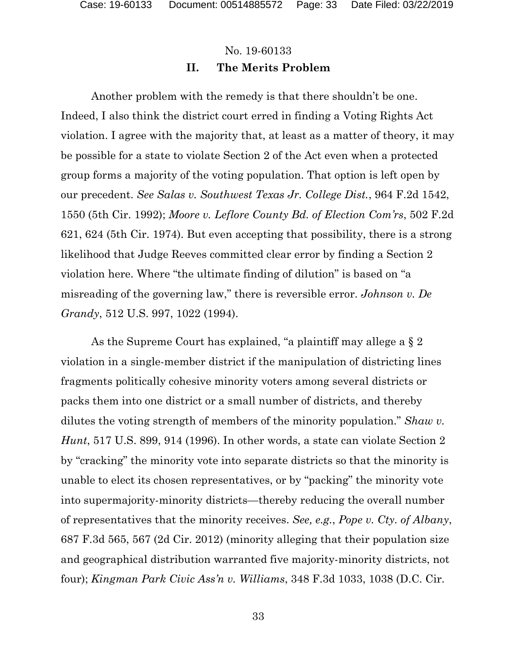### **II. The Merits Problem**

Another problem with the remedy is that there shouldn't be one. Indeed, I also think the district court erred in finding a Voting Rights Act violation. I agree with the majority that, at least as a matter of theory, it may be possible for a state to violate Section 2 of the Act even when a protected group forms a majority of the voting population. That option is left open by our precedent. *See Salas v. Southwest Texas Jr. College Dist.*, 964 F.2d 1542, 1550 (5th Cir. 1992); *Moore v. Leflore County Bd. of Election Com'rs*, 502 F.2d 621, 624 (5th Cir. 1974). But even accepting that possibility, there is a strong likelihood that Judge Reeves committed clear error by finding a Section 2 violation here. Where "the ultimate finding of dilution" is based on "a misreading of the governing law," there is reversible error. *Johnson v. De Grandy*, 512 U.S. 997, 1022 (1994).

As the Supreme Court has explained, "a plaintiff may allege a § 2 violation in a single-member district if the manipulation of districting lines fragments politically cohesive minority voters among several districts or packs them into one district or a small number of districts, and thereby dilutes the voting strength of members of the minority population." *Shaw v. Hunt*, 517 U.S. 899, 914 (1996). In other words, a state can violate Section 2 by "cracking" the minority vote into separate districts so that the minority is unable to elect its chosen representatives, or by "packing" the minority vote into supermajority-minority districts—thereby reducing the overall number of representatives that the minority receives. *See, e.g.*, *Pope v. Cty. of Albany*, 687 F.3d 565, 567 (2d Cir. 2012) (minority alleging that their population size and geographical distribution warranted five majority-minority districts, not four); *Kingman Park Civic Ass'n v. Williams*, 348 F.3d 1033, 1038 (D.C. Cir.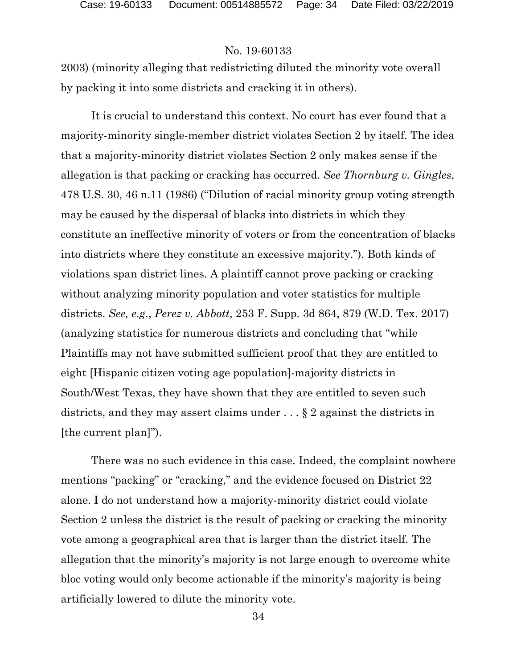2003) (minority alleging that redistricting diluted the minority vote overall by packing it into some districts and cracking it in others).

It is crucial to understand this context. No court has ever found that a majority-minority single-member district violates Section 2 by itself. The idea that a majority-minority district violates Section 2 only makes sense if the allegation is that packing or cracking has occurred. *See Thornburg v. Gingles*, 478 U.S. 30, 46 n.11 (1986) ("Dilution of racial minority group voting strength may be caused by the dispersal of blacks into districts in which they constitute an ineffective minority of voters or from the concentration of blacks into districts where they constitute an excessive majority."). Both kinds of violations span district lines. A plaintiff cannot prove packing or cracking without analyzing minority population and voter statistics for multiple districts. *See, e.g.*, *Perez v. Abbott*, 253 F. Supp. 3d 864, 879 (W.D. Tex. 2017) (analyzing statistics for numerous districts and concluding that "while Plaintiffs may not have submitted sufficient proof that they are entitled to eight [Hispanic citizen voting age population]-majority districts in South/West Texas, they have shown that they are entitled to seven such districts, and they may assert claims under . . . § 2 against the districts in [the current plan]").

There was no such evidence in this case. Indeed, the complaint nowhere mentions "packing" or "cracking," and the evidence focused on District 22 alone. I do not understand how a majority-minority district could violate Section 2 unless the district is the result of packing or cracking the minority vote among a geographical area that is larger than the district itself. The allegation that the minority's majority is not large enough to overcome white bloc voting would only become actionable if the minority's majority is being artificially lowered to dilute the minority vote.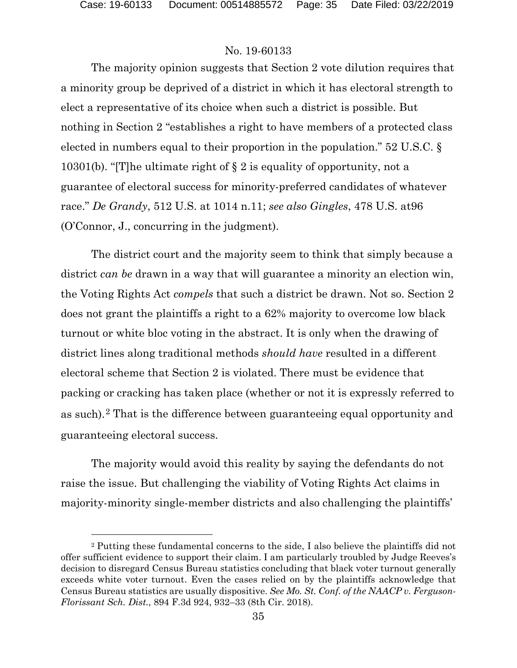### No. 19-60133

The majority opinion suggests that Section 2 vote dilution requires that a minority group be deprived of a district in which it has electoral strength to elect a representative of its choice when such a district is possible. But nothing in Section 2 "establishes a right to have members of a protected class elected in numbers equal to their proportion in the population." 52 U.S.C. § 10301(b). "[T]he ultimate right of § 2 is equality of opportunity, not a guarantee of electoral success for minority-preferred candidates of whatever race." *De Grandy*, 512 U.S. at 1014 n.11; *see also Gingles*, 478 U.S. at96 (O'Connor, J., concurring in the judgment).

The district court and the majority seem to think that simply because a district *can be* drawn in a way that will guarantee a minority an election win, the Voting Rights Act *compels* that such a district be drawn. Not so. Section 2 does not grant the plaintiffs a right to a 62% majority to overcome low black turnout or white bloc voting in the abstract. It is only when the drawing of district lines along traditional methods *should have* resulted in a different electoral scheme that Section 2 is violated. There must be evidence that packing or cracking has taken place (whether or not it is expressly referred to as such).[2](#page-34-0) That is the difference between guaranteeing equal opportunity and guaranteeing electoral success.

The majority would avoid this reality by saying the defendants do not raise the issue. But challenging the viability of Voting Rights Act claims in majority-minority single-member districts and also challenging the plaintiffs'

<span id="page-34-0"></span><sup>2</sup> Putting these fundamental concerns to the side, I also believe the plaintiffs did not offer sufficient evidence to support their claim. I am particularly troubled by Judge Reeves's decision to disregard Census Bureau statistics concluding that black voter turnout generally exceeds white voter turnout. Even the cases relied on by the plaintiffs acknowledge that Census Bureau statistics are usually dispositive. *See Mo. St. Conf. of the NAACP v. Ferguson-Florissant Sch. Dist.*, 894 F.3d 924, 932–33 (8th Cir. 2018).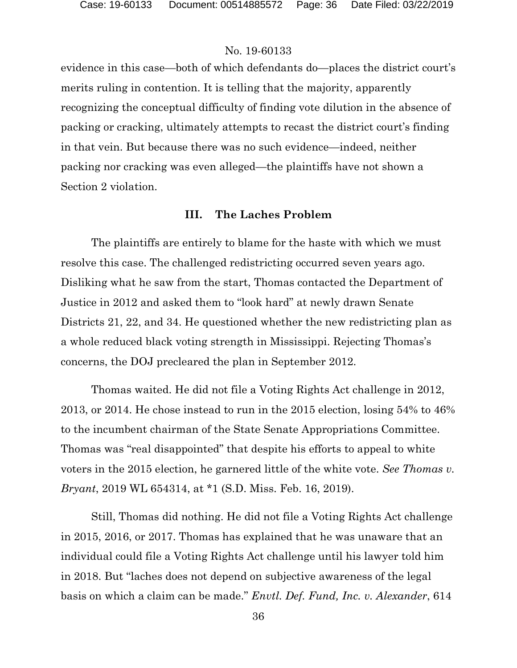evidence in this case—both of which defendants do—places the district court's merits ruling in contention. It is telling that the majority, apparently recognizing the conceptual difficulty of finding vote dilution in the absence of packing or cracking, ultimately attempts to recast the district court's finding in that vein. But because there was no such evidence—indeed, neither packing nor cracking was even alleged—the plaintiffs have not shown a Section 2 violation.

#### **III. The Laches Problem**

The plaintiffs are entirely to blame for the haste with which we must resolve this case. The challenged redistricting occurred seven years ago. Disliking what he saw from the start, Thomas contacted the Department of Justice in 2012 and asked them to "look hard" at newly drawn Senate Districts 21, 22, and 34. He questioned whether the new redistricting plan as a whole reduced black voting strength in Mississippi. Rejecting Thomas's concerns, the DOJ precleared the plan in September 2012.

Thomas waited. He did not file a Voting Rights Act challenge in 2012, 2013, or 2014. He chose instead to run in the 2015 election, losing 54% to 46% to the incumbent chairman of the State Senate Appropriations Committee. Thomas was "real disappointed" that despite his efforts to appeal to white voters in the 2015 election, he garnered little of the white vote. *See Thomas v. Bryant*, 2019 WL 654314, at \*1 (S.D. Miss. Feb. 16, 2019).

Still, Thomas did nothing. He did not file a Voting Rights Act challenge in 2015, 2016, or 2017. Thomas has explained that he was unaware that an individual could file a Voting Rights Act challenge until his lawyer told him in 2018. But "laches does not depend on subjective awareness of the legal basis on which a claim can be made." *Envtl. Def. Fund, Inc. v. Alexander*, 614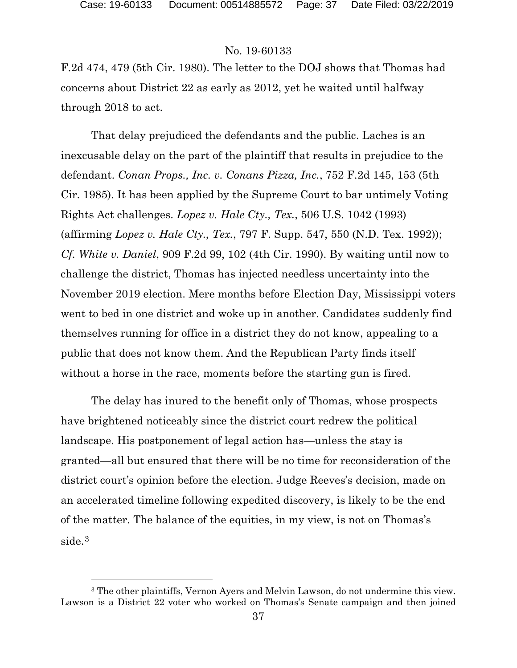### No. 19-60133

F.2d 474, 479 (5th Cir. 1980). The letter to the DOJ shows that Thomas had concerns about District 22 as early as 2012, yet he waited until halfway through 2018 to act.

That delay prejudiced the defendants and the public. Laches is an inexcusable delay on the part of the plaintiff that results in prejudice to the defendant. *Conan Props., Inc. v. Conans Pizza, Inc.*, 752 F.2d 145, 153 (5th Cir. 1985). It has been applied by the Supreme Court to bar untimely Voting Rights Act challenges. *Lopez v. Hale Cty., Tex.*, 506 U.S. 1042 (1993) (affirming *Lopez v. Hale Cty., Tex.*, 797 F. Supp. 547, 550 (N.D. Tex. 1992)); *Cf. White v. Daniel*, 909 F.2d 99, 102 (4th Cir. 1990). By waiting until now to challenge the district, Thomas has injected needless uncertainty into the November 2019 election. Mere months before Election Day, Mississippi voters went to bed in one district and woke up in another. Candidates suddenly find themselves running for office in a district they do not know, appealing to a public that does not know them. And the Republican Party finds itself without a horse in the race, moments before the starting gun is fired.

The delay has inured to the benefit only of Thomas, whose prospects have brightened noticeably since the district court redrew the political landscape. His postponement of legal action has—unless the stay is granted—all but ensured that there will be no time for reconsideration of the district court's opinion before the election. Judge Reeves's decision, made on an accelerated timeline following expedited discovery, is likely to be the end of the matter. The balance of the equities, in my view, is not on Thomas's side.<sup>[3](#page-36-0)</sup>

<span id="page-36-0"></span><sup>3</sup> The other plaintiffs, Vernon Ayers and Melvin Lawson, do not undermine this view. Lawson is a District 22 voter who worked on Thomas's Senate campaign and then joined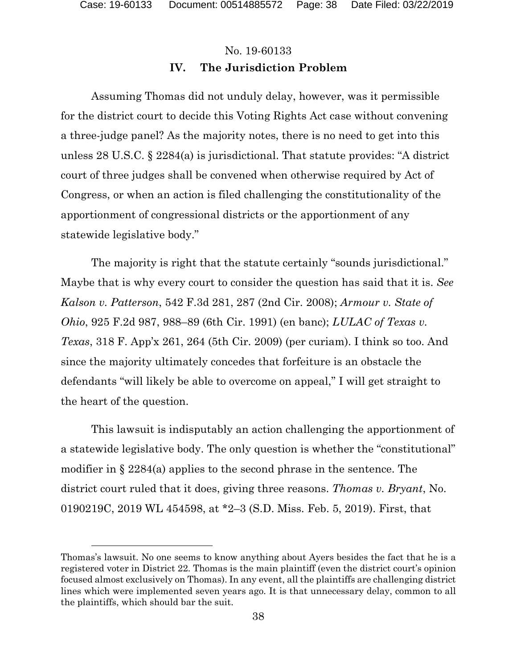# No. 19-60133 **IV. The Jurisdiction Problem**

Assuming Thomas did not unduly delay, however, was it permissible for the district court to decide this Voting Rights Act case without convening a three-judge panel? As the majority notes, there is no need to get into this unless 28 U.S.C. § 2284(a) is jurisdictional. That statute provides: "A district court of three judges shall be convened when otherwise required by Act of Congress, or when an action is filed challenging the constitutionality of the apportionment of congressional districts or the apportionment of any statewide legislative body."

The majority is right that the statute certainly "sounds jurisdictional." Maybe that is why every court to consider the question has said that it is. *See Kalson v. Patterson*, 542 F.3d 281, 287 (2nd Cir. 2008); *Armour v. State of Ohio*, 925 F.2d 987, 988–89 (6th Cir. 1991) (en banc); *LULAC of Texas v. Texas*, 318 F. App'x 261, 264 (5th Cir. 2009) (per curiam). I think so too. And since the majority ultimately concedes that forfeiture is an obstacle the defendants "will likely be able to overcome on appeal," I will get straight to the heart of the question.

This lawsuit is indisputably an action challenging the apportionment of a statewide legislative body. The only question is whether the "constitutional" modifier in § 2284(a) applies to the second phrase in the sentence. The district court ruled that it does, giving three reasons. *Thomas v. Bryant*, No. 0190219C, 2019 WL 454598, at \*2–3 (S.D. Miss. Feb. 5, 2019). First, that

Thomas's lawsuit. No one seems to know anything about Ayers besides the fact that he is a registered voter in District 22. Thomas is the main plaintiff (even the district court's opinion focused almost exclusively on Thomas). In any event, all the plaintiffs are challenging district lines which were implemented seven years ago. It is that unnecessary delay, common to all the plaintiffs, which should bar the suit.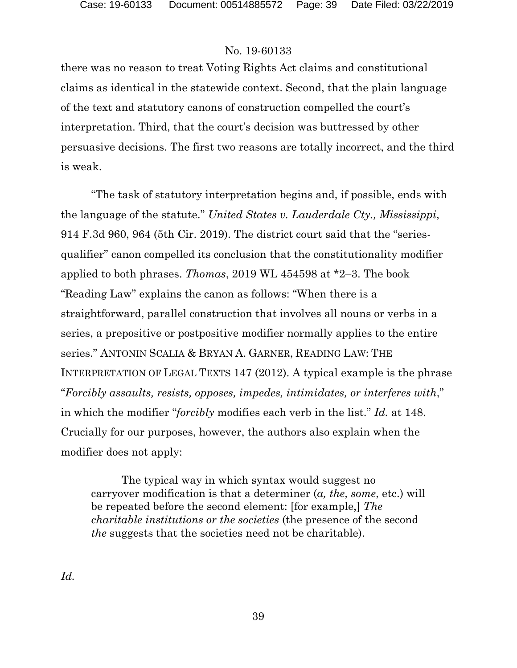there was no reason to treat Voting Rights Act claims and constitutional claims as identical in the statewide context. Second, that the plain language of the text and statutory canons of construction compelled the court's interpretation. Third, that the court's decision was buttressed by other persuasive decisions. The first two reasons are totally incorrect, and the third is weak.

"The task of statutory interpretation begins and, if possible, ends with the language of the statute." *United States v. Lauderdale Cty., Mississippi*, 914 F.3d 960, 964 (5th Cir. 2019). The district court said that the "seriesqualifier" canon compelled its conclusion that the constitutionality modifier applied to both phrases. *Thomas*, 2019 WL 454598 at \*2–3. The book "Reading Law" explains the canon as follows: "When there is a straightforward, parallel construction that involves all nouns or verbs in a series, a prepositive or postpositive modifier normally applies to the entire series." ANTONIN SCALIA & BRYAN A. GARNER, READING LAW: THE INTERPRETATION OF LEGAL TEXTS 147 (2012). A typical example is the phrase "*Forcibly assaults, resists, opposes, impedes, intimidates, or interferes with*," in which the modifier "*forcibly* modifies each verb in the list." *Id.* at 148. Crucially for our purposes, however, the authors also explain when the modifier does not apply:

The typical way in which syntax would suggest no carryover modification is that a determiner (*a, the, some*, etc.) will be repeated before the second element: [for example,] *The charitable institutions or the societies* (the presence of the second *the* suggests that the societies need not be charitable).

*Id.*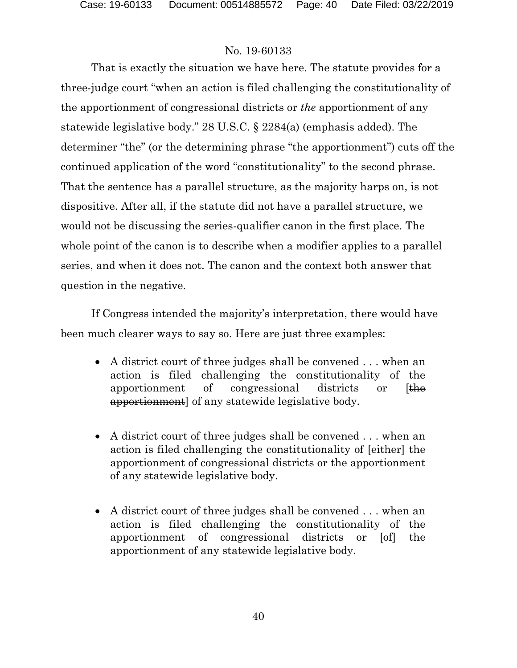That is exactly the situation we have here. The statute provides for a three-judge court "when an action is filed challenging the constitutionality of the apportionment of congressional districts or *the* apportionment of any statewide legislative body." 28 U.S.C. § 2284(a) (emphasis added). The determiner "the" (or the determining phrase "the apportionment") cuts off the continued application of the word "constitutionality" to the second phrase. That the sentence has a parallel structure, as the majority harps on, is not dispositive. After all, if the statute did not have a parallel structure, we would not be discussing the series-qualifier canon in the first place. The whole point of the canon is to describe when a modifier applies to a parallel series, and when it does not. The canon and the context both answer that question in the negative.

If Congress intended the majority's interpretation, there would have been much clearer ways to say so. Here are just three examples:

- A district court of three judges shall be convened . . . when an action is filed challenging the constitutionality of the apportionment of congressional districts or [the apportionment] of any statewide legislative body.
- A district court of three judges shall be convened . . . when an action is filed challenging the constitutionality of [either] the apportionment of congressional districts or the apportionment of any statewide legislative body.
- A district court of three judges shall be convened . . . when an action is filed challenging the constitutionality of the apportionment of congressional districts or [of] the apportionment of any statewide legislative body.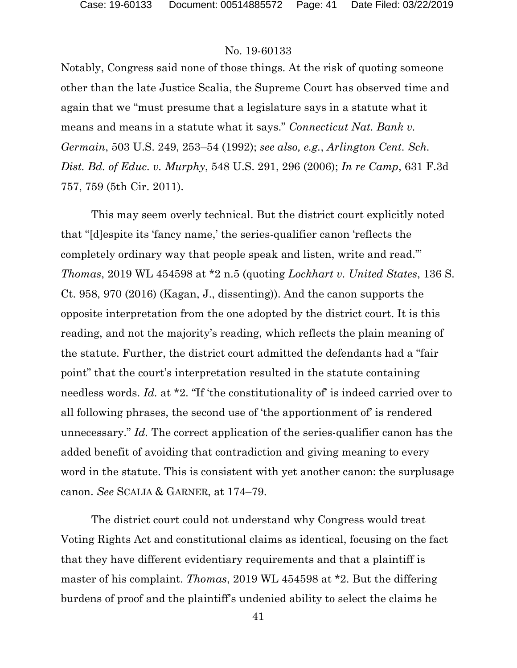Notably, Congress said none of those things. At the risk of quoting someone other than the late Justice Scalia, the Supreme Court has observed time and again that we "must presume that a legislature says in a statute what it means and means in a statute what it says." *Connecticut Nat. Bank v. Germain*, 503 U.S. 249, 253–54 (1992); *see also, e.g.*, *Arlington Cent. Sch. Dist. Bd. of Educ. v. Murphy*, 548 U.S. 291, 296 (2006); *In re Camp*, 631 F.3d 757, 759 (5th Cir. 2011).

This may seem overly technical. But the district court explicitly noted that "[d]espite its 'fancy name,' the series-qualifier canon 'reflects the completely ordinary way that people speak and listen, write and read.'" *Thomas*, 2019 WL 454598 at \*2 n.5 (quoting *Lockhart v. United States*, 136 S. Ct. 958, 970 (2016) (Kagan, J., dissenting)). And the canon supports the opposite interpretation from the one adopted by the district court. It is this reading, and not the majority's reading, which reflects the plain meaning of the statute. Further, the district court admitted the defendants had a "fair point" that the court's interpretation resulted in the statute containing needless words. *Id.* at \*2. "If 'the constitutionality of' is indeed carried over to all following phrases, the second use of 'the apportionment of' is rendered unnecessary." *Id.* The correct application of the series-qualifier canon has the added benefit of avoiding that contradiction and giving meaning to every word in the statute. This is consistent with yet another canon: the surplusage canon. *See* SCALIA & GARNER, at 174–79.

The district court could not understand why Congress would treat Voting Rights Act and constitutional claims as identical, focusing on the fact that they have different evidentiary requirements and that a plaintiff is master of his complaint. *Thomas*, 2019 WL 454598 at \*2. But the differing burdens of proof and the plaintiff's undenied ability to select the claims he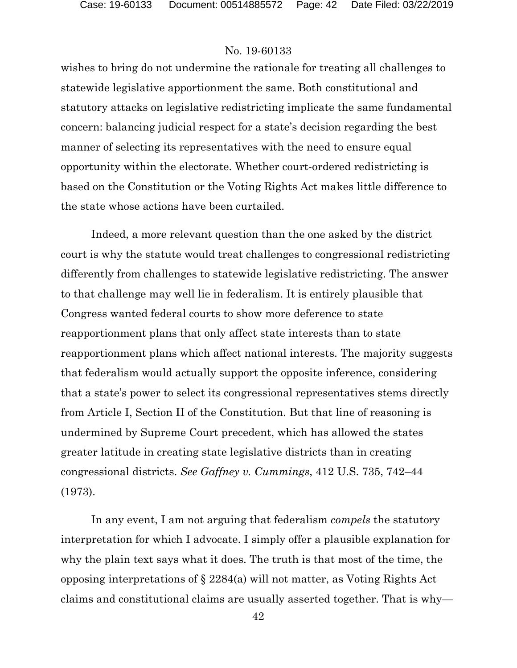wishes to bring do not undermine the rationale for treating all challenges to statewide legislative apportionment the same. Both constitutional and statutory attacks on legislative redistricting implicate the same fundamental concern: balancing judicial respect for a state's decision regarding the best manner of selecting its representatives with the need to ensure equal opportunity within the electorate. Whether court-ordered redistricting is based on the Constitution or the Voting Rights Act makes little difference to the state whose actions have been curtailed.

Indeed, a more relevant question than the one asked by the district court is why the statute would treat challenges to congressional redistricting differently from challenges to statewide legislative redistricting. The answer to that challenge may well lie in federalism. It is entirely plausible that Congress wanted federal courts to show more deference to state reapportionment plans that only affect state interests than to state reapportionment plans which affect national interests. The majority suggests that federalism would actually support the opposite inference, considering that a state's power to select its congressional representatives stems directly from Article I, Section II of the Constitution. But that line of reasoning is undermined by Supreme Court precedent, which has allowed the states greater latitude in creating state legislative districts than in creating congressional districts. *See Gaffney v. Cummings*, 412 U.S. 735, 742–44 (1973).

In any event, I am not arguing that federalism *compels* the statutory interpretation for which I advocate. I simply offer a plausible explanation for why the plain text says what it does. The truth is that most of the time, the opposing interpretations of § 2284(a) will not matter, as Voting Rights Act claims and constitutional claims are usually asserted together. That is why—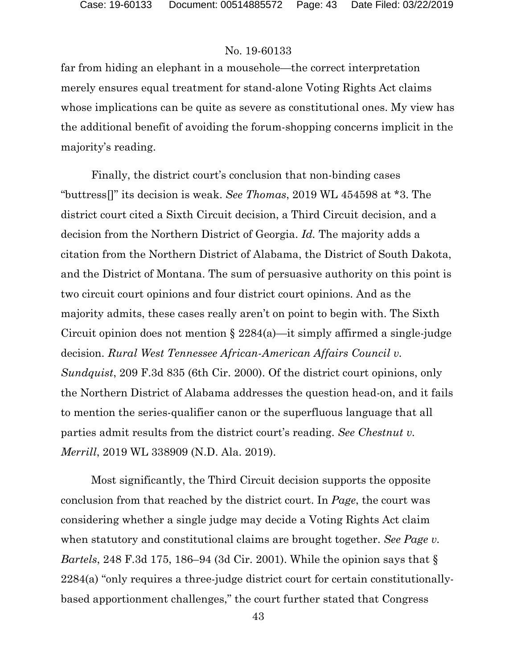far from hiding an elephant in a mousehole—the correct interpretation merely ensures equal treatment for stand-alone Voting Rights Act claims whose implications can be quite as severe as constitutional ones. My view has the additional benefit of avoiding the forum-shopping concerns implicit in the majority's reading.

Finally, the district court's conclusion that non-binding cases "buttress[]" its decision is weak. *See Thomas*, 2019 WL 454598 at \*3. The district court cited a Sixth Circuit decision, a Third Circuit decision, and a decision from the Northern District of Georgia. *Id.* The majority adds a citation from the Northern District of Alabama, the District of South Dakota, and the District of Montana. The sum of persuasive authority on this point is two circuit court opinions and four district court opinions. And as the majority admits, these cases really aren't on point to begin with. The Sixth Circuit opinion does not mention  $\S 2284(a)$ —it simply affirmed a single-judge decision. *Rural West Tennessee African-American Affairs Council v. Sundquist*, 209 F.3d 835 (6th Cir. 2000). Of the district court opinions, only the Northern District of Alabama addresses the question head-on, and it fails to mention the series-qualifier canon or the superfluous language that all parties admit results from the district court's reading. *See Chestnut v. Merrill*, 2019 WL 338909 (N.D. Ala. 2019).

Most significantly, the Third Circuit decision supports the opposite conclusion from that reached by the district court. In *Page*, the court was considering whether a single judge may decide a Voting Rights Act claim when statutory and constitutional claims are brought together. *See Page v. Bartels*, 248 F.3d 175, 186–94 (3d Cir. 2001). While the opinion says that § 2284(a) "only requires a three-judge district court for certain constitutionallybased apportionment challenges," the court further stated that Congress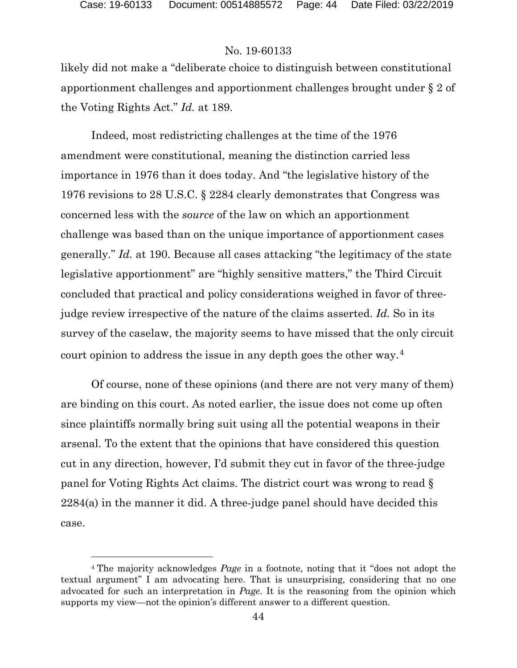### No. 19-60133

likely did not make a "deliberate choice to distinguish between constitutional apportionment challenges and apportionment challenges brought under § 2 of the Voting Rights Act." *Id.* at 189.

Indeed, most redistricting challenges at the time of the 1976 amendment were constitutional, meaning the distinction carried less importance in 1976 than it does today. And "the legislative history of the 1976 revisions to 28 U.S.C. § 2284 clearly demonstrates that Congress was concerned less with the *source* of the law on which an apportionment challenge was based than on the unique importance of apportionment cases generally." *Id.* at 190. Because all cases attacking "the legitimacy of the state legislative apportionment" are "highly sensitive matters," the Third Circuit concluded that practical and policy considerations weighed in favor of threejudge review irrespective of the nature of the claims asserted. *Id.* So in its survey of the caselaw, the majority seems to have missed that the only circuit court opinion to address the issue in any depth goes the other way.[4](#page-43-0)

Of course, none of these opinions (and there are not very many of them) are binding on this court. As noted earlier, the issue does not come up often since plaintiffs normally bring suit using all the potential weapons in their arsenal. To the extent that the opinions that have considered this question cut in any direction, however, I'd submit they cut in favor of the three-judge panel for Voting Rights Act claims. The district court was wrong to read § 2284(a) in the manner it did. A three-judge panel should have decided this case.

<span id="page-43-0"></span><sup>4</sup> The majority acknowledges *Page* in a footnote, noting that it "does not adopt the textual argument" I am advocating here. That is unsurprising, considering that no one advocated for such an interpretation in *Page*. It is the reasoning from the opinion which supports my view—not the opinion's different answer to a different question.